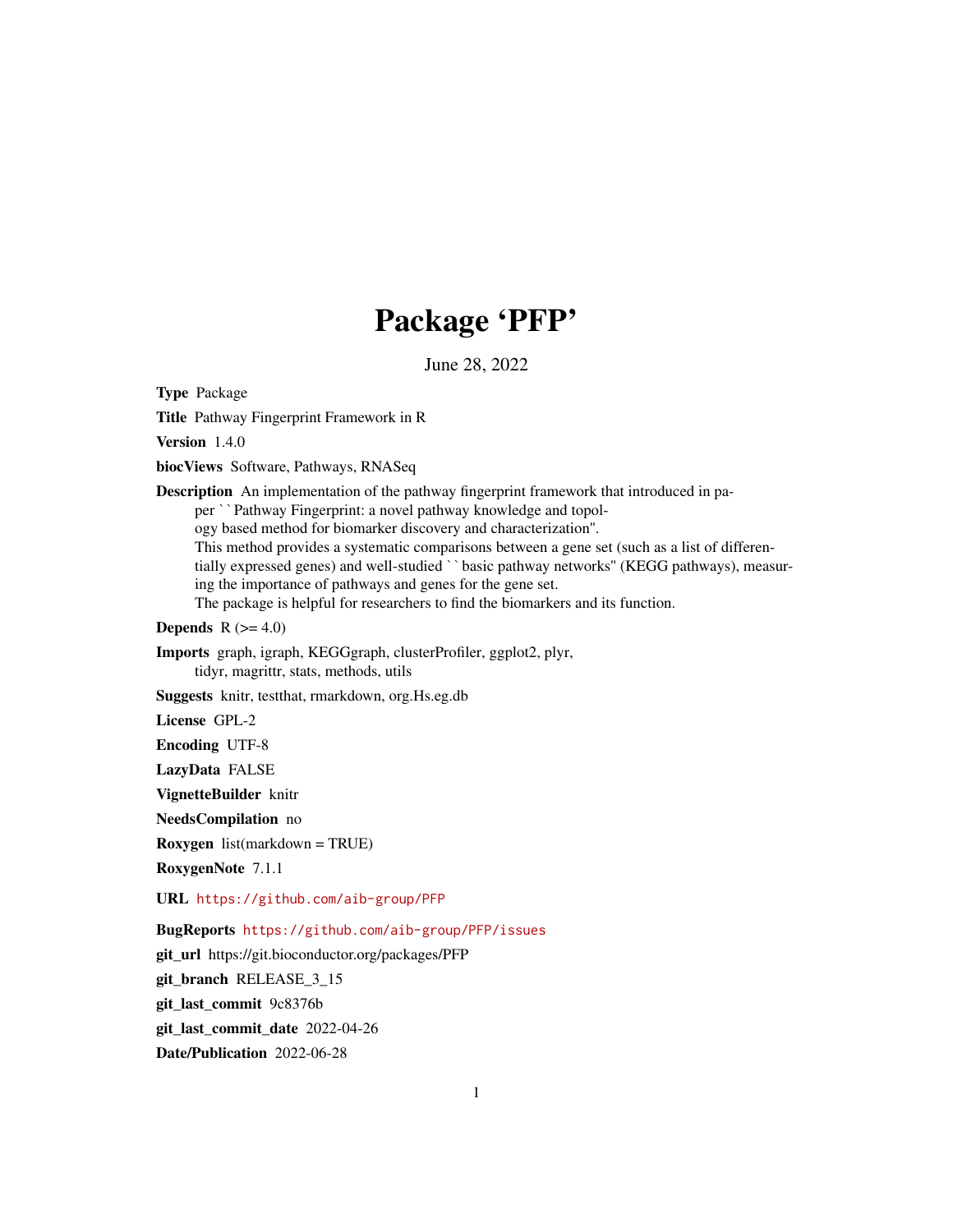# Package 'PFP'

June 28, 2022

<span id="page-0-0"></span>Type Package

Title Pathway Fingerprint Framework in R

Version 1.4.0

biocViews Software, Pathways, RNASeq

Description An implementation of the pathway fingerprint framework that introduced in paper ``Pathway Fingerprint: a novel pathway knowledge and topology based method for biomarker discovery and characterization''. This method provides a systematic comparisons between a gene set (such as a list of differentially expressed genes) and well-studied ` `basic pathway networks" (KEGG pathways), measuring the importance of pathways and genes for the gene set. The package is helpful for researchers to find the biomarkers and its function.

## Depends  $R$  ( $>= 4.0$ )

Imports graph, igraph, KEGGgraph, clusterProfiler, ggplot2, plyr, tidyr, magrittr, stats, methods, utils

Suggests knitr, testthat, rmarkdown, org.Hs.eg.db

License GPL-2

Encoding UTF-8

LazyData FALSE

VignetteBuilder knitr

NeedsCompilation no

Roxygen list(markdown = TRUE)

RoxygenNote 7.1.1

URL <https://github.com/aib-group/PFP>

BugReports <https://github.com/aib-group/PFP/issues>

git\_url https://git.bioconductor.org/packages/PFP

git\_branch RELEASE\_3\_15

git\_last\_commit 9c8376b

git last commit date 2022-04-26

Date/Publication 2022-06-28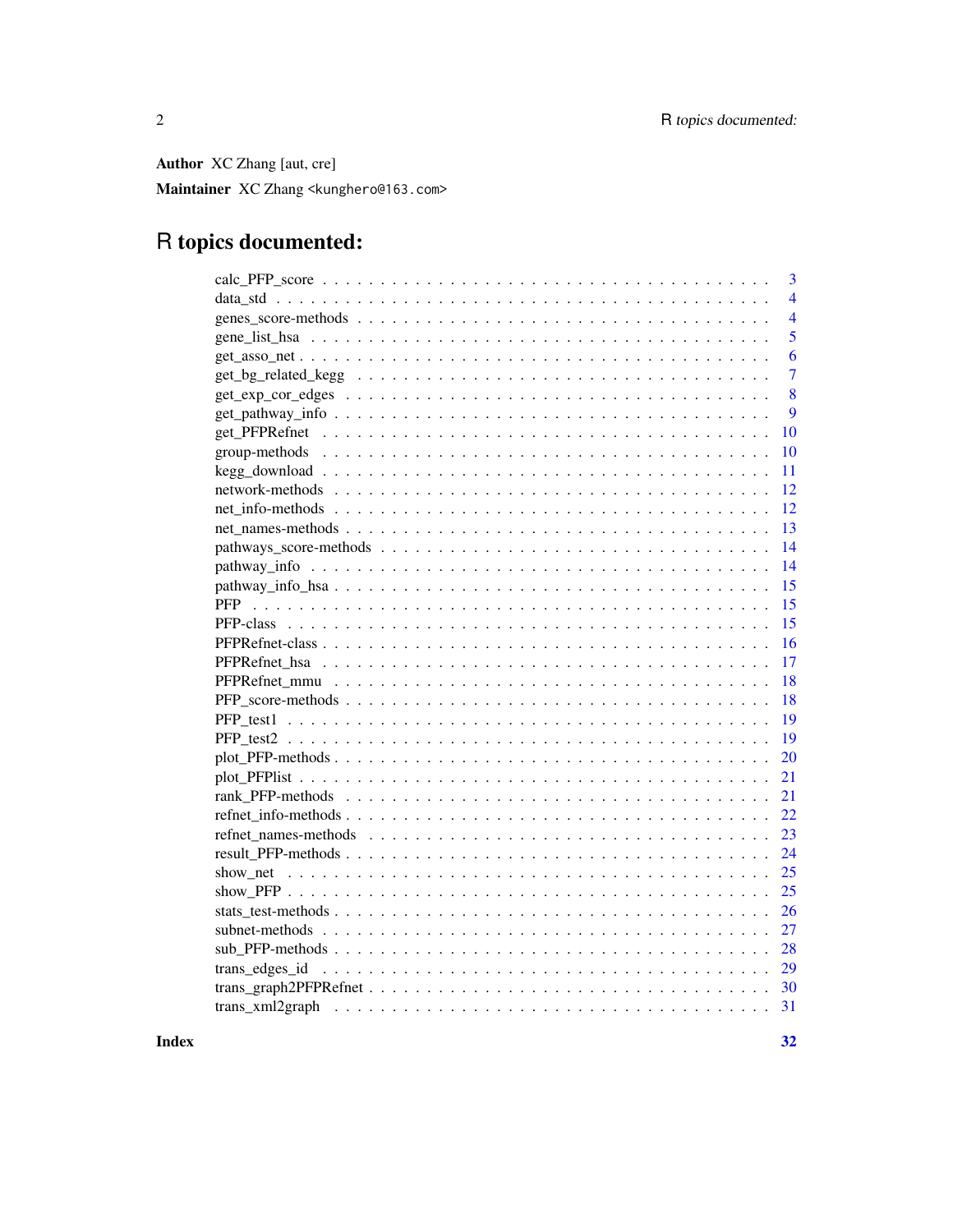Author XC Zhang [aut, cre]

Maintainer XC Zhang <kunghero@163.com>

## R topics documented:

|    | 3              |
|----|----------------|
|    | $\overline{4}$ |
|    | $\overline{4}$ |
|    | 5              |
|    | 6              |
|    | $\overline{7}$ |
|    | 8              |
|    | 9              |
|    | 10             |
|    | 10             |
|    | 11             |
|    | 12             |
|    | 12             |
|    | 13             |
|    | 14             |
|    | 14             |
|    | 15             |
|    | 15             |
|    | 15             |
|    | 16             |
|    | 17             |
|    | 18             |
|    | 18             |
|    | 19             |
|    | 19             |
|    | 20             |
|    | 21             |
|    | 21             |
|    | 22             |
|    | 23             |
|    | 24             |
|    | 25             |
|    | 25             |
|    | 26             |
|    | 27             |
|    | 28             |
|    | 29             |
|    | 30             |
| 31 |                |
|    |                |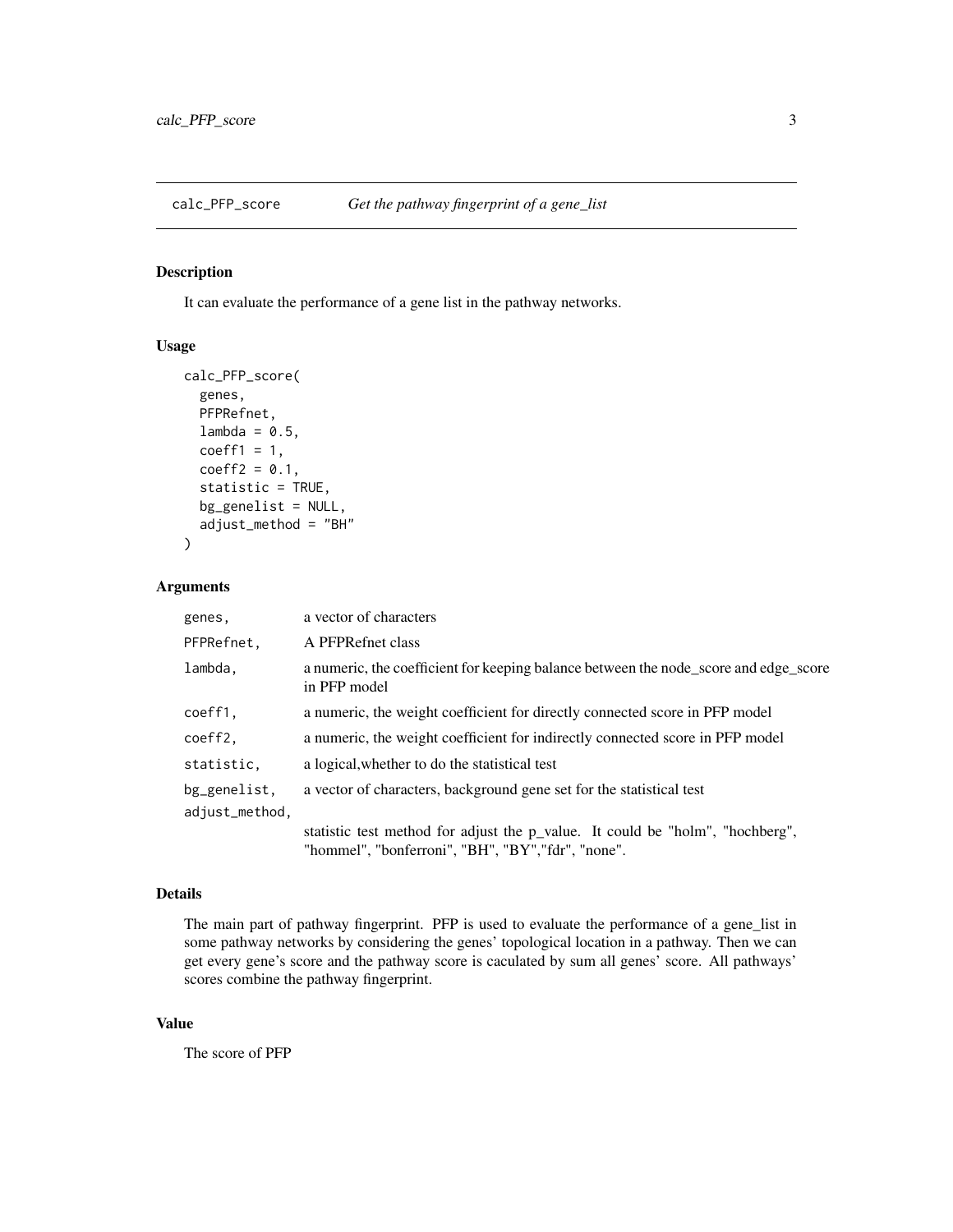<span id="page-2-0"></span>

It can evaluate the performance of a gene list in the pathway networks.

#### Usage

```
calc_PFP_score(
  genes,
 PFPRefnet,
  lambda = 0.5,
  coeff1 = 1,
  coeff2 = 0.1,
  statistic = TRUE,
  bg_genelist = NULL,
  adjust_method = "BH"
)
```
#### Arguments

| genes,                         | a vector of characters                                                                                                              |
|--------------------------------|-------------------------------------------------------------------------------------------------------------------------------------|
| PFPRefnet,                     | A PFPRefnet class                                                                                                                   |
| lambda.                        | a numeric, the coefficient for keeping balance between the node_score and edge_score<br>in PFP model                                |
| coeff1,                        | a numeric, the weight coefficient for directly connected score in PFP model                                                         |
| coeff2,                        | a numeric, the weight coefficient for indirectly connected score in PFP model                                                       |
| statistic.                     | a logical, whether to do the statistical test                                                                                       |
| bg_genelist,<br>adjust_method, | a vector of characters, background gene set for the statistical test                                                                |
|                                | statistic test method for adjust the p_value. It could be "holm", "hochberg",<br>"hommel", "bonferroni", "BH", "BY", "fdr", "none". |

#### Details

The main part of pathway fingerprint. PFP is used to evaluate the performance of a gene\_list in some pathway networks by considering the genes' topological location in a pathway. Then we can get every gene's score and the pathway score is caculated by sum all genes' score. All pathways' scores combine the pathway fingerprint.

#### Value

The score of PFP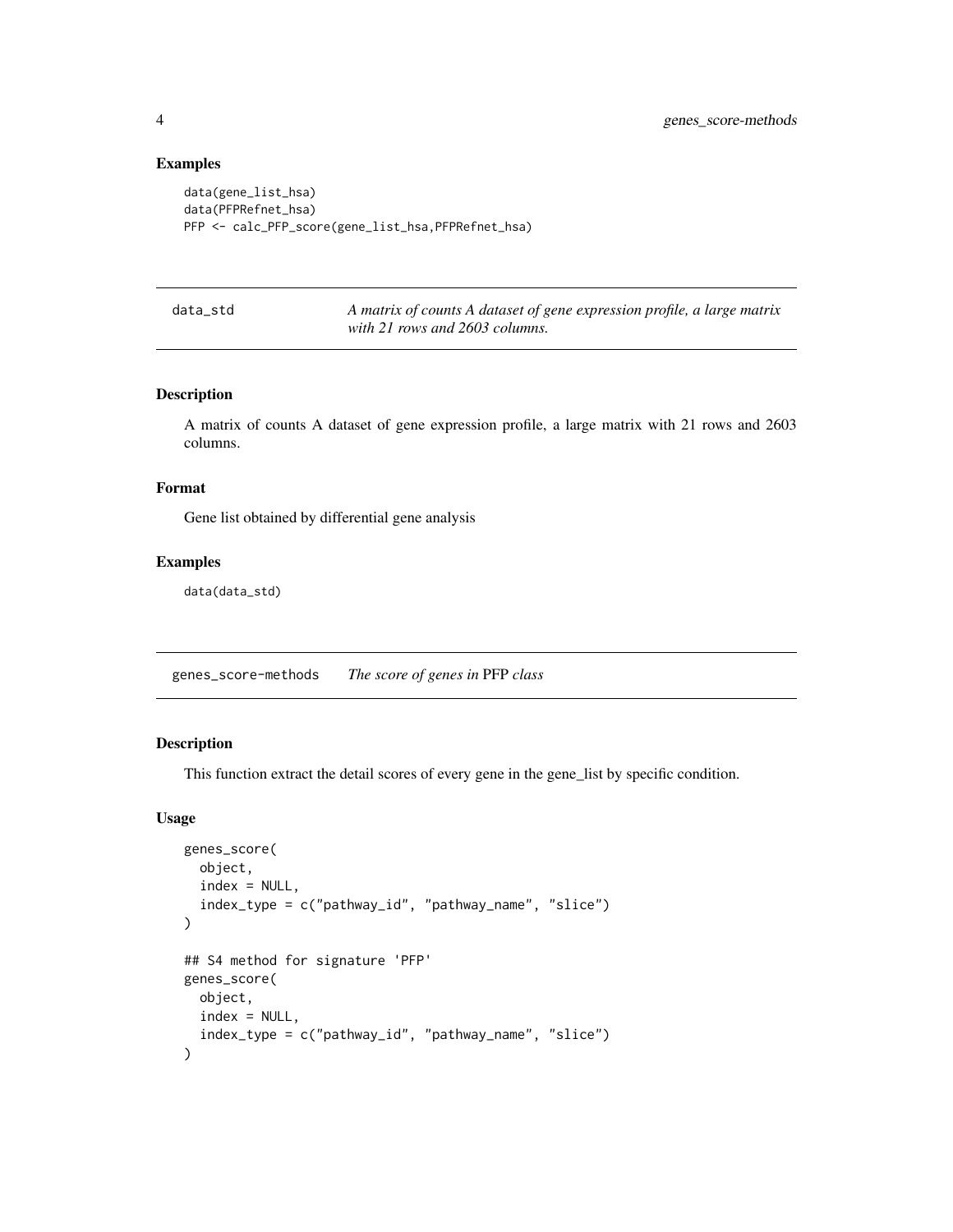#### Examples

```
data(gene_list_hsa)
data(PFPRefnet_hsa)
PFP <- calc_PFP_score(gene_list_hsa,PFPRefnet_hsa)
```
data\_std *A matrix of counts A dataset of gene expression profile, a large matrix with 21 rows and 2603 columns.*

## Description

A matrix of counts A dataset of gene expression profile, a large matrix with 21 rows and 2603 columns.

#### Format

Gene list obtained by differential gene analysis

#### Examples

data(data\_std)

<span id="page-3-1"></span>genes\_score-methods *The score of genes in* PFP *class*

## Description

This function extract the detail scores of every gene in the gene\_list by specific condition.

#### Usage

```
genes_score(
 object,
  index = NULL,index_type = c("pathway_id", "pathway_name", "slice")
)
## S4 method for signature 'PFP'
genes_score(
 object,
 index = NULL,index_type = c("pathway_id", "pathway_name", "slice")
)
```
<span id="page-3-0"></span>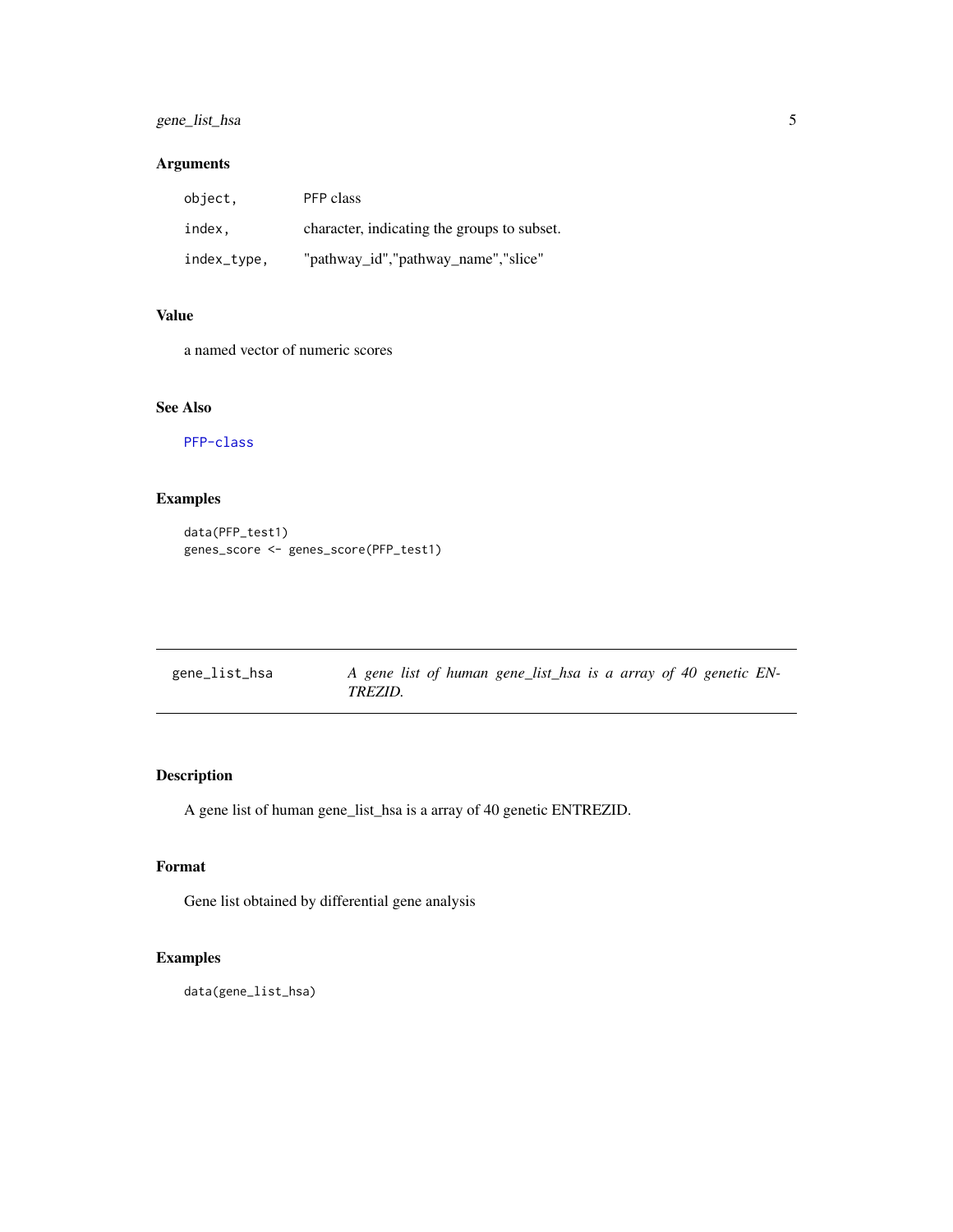## <span id="page-4-0"></span>gene\_list\_hsa 5

## Arguments

| object.     | PFP class                                   |
|-------------|---------------------------------------------|
| index.      | character, indicating the groups to subset. |
| index_type, | "pathway_id","pathway_name","slice"         |

## Value

a named vector of numeric scores

## See Also

[PFP-class](#page-14-1)

## Examples

```
data(PFP_test1)
genes_score <- genes_score(PFP_test1)
```

| gene_list_hsa | A gene list of human gene_list_hsa is a array of 40 genetic EN- |
|---------------|-----------------------------------------------------------------|
|               | TREZID.                                                         |

## Description

A gene list of human gene\_list\_hsa is a array of 40 genetic ENTREZID.

## Format

Gene list obtained by differential gene analysis

```
data(gene_list_hsa)
```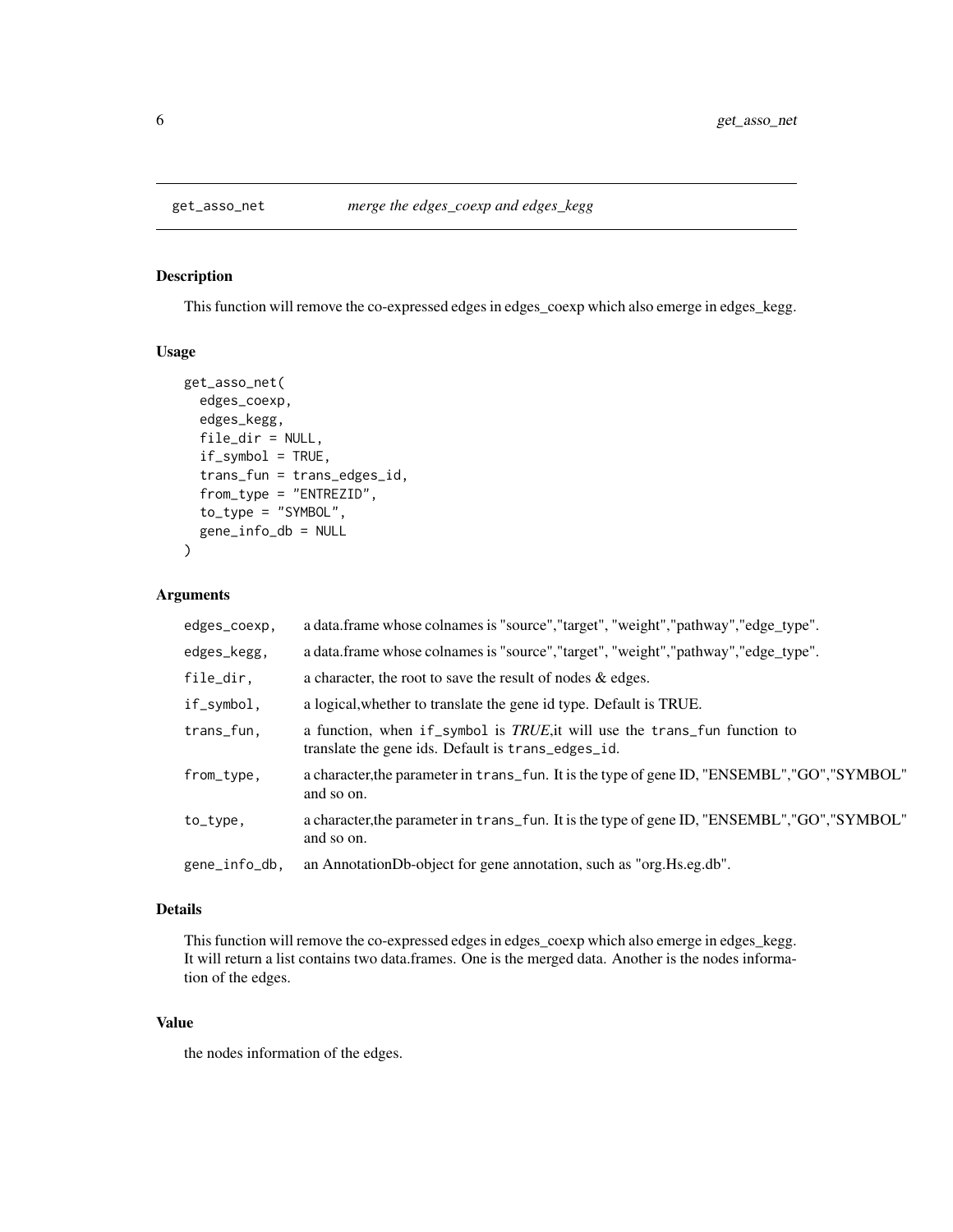<span id="page-5-1"></span><span id="page-5-0"></span>

This function will remove the co-expressed edges in edges\_coexp which also emerge in edges\_kegg.

#### Usage

```
get_asso_net(
  edges_coexp,
  edges_kegg,
  file_dir = NULL,
  if_symbol = TRUE,
  trans_fun = trans_edges_id,
  from_type = "ENTREZID",
  to\_type = "SYMBOL",gene_info_db = NULL
)
```
#### Arguments

| edges_coexp,  | a data.frame whose colnames is "source", "target", "weight", "pathway", "edge_type".                                            |
|---------------|---------------------------------------------------------------------------------------------------------------------------------|
| edges_kegg,   | a data.frame whose colnames is "source", "target", "weight", "pathway", "edge_type".                                            |
| file_dir,     | a character, the root to save the result of nodes $\&$ edges.                                                                   |
| if_symbol,    | a logical, whether to translate the gene id type. Default is TRUE.                                                              |
| trans_fun,    | a function, when if_symbol is TRUE, it will use the trans_fun function to<br>translate the gene ids. Default is trans_edges_id. |
| from_type,    | a character, the parameter in trans_fun. It is the type of gene ID, "ENSEMBL", "GO", "SYMBOL"<br>and so on.                     |
| to_type,      | a character, the parameter in trans_fun. It is the type of gene ID, "ENSEMBL", "GO", "SYMBOL"<br>and so on.                     |
| gene_info_db, | an AnnotationDb-object for gene annotation, such as "org. Hs.eg.db".                                                            |

#### Details

This function will remove the co-expressed edges in edges\_coexp which also emerge in edges\_kegg. It will return a list contains two data.frames. One is the merged data. Another is the nodes information of the edges.

#### Value

the nodes information of the edges.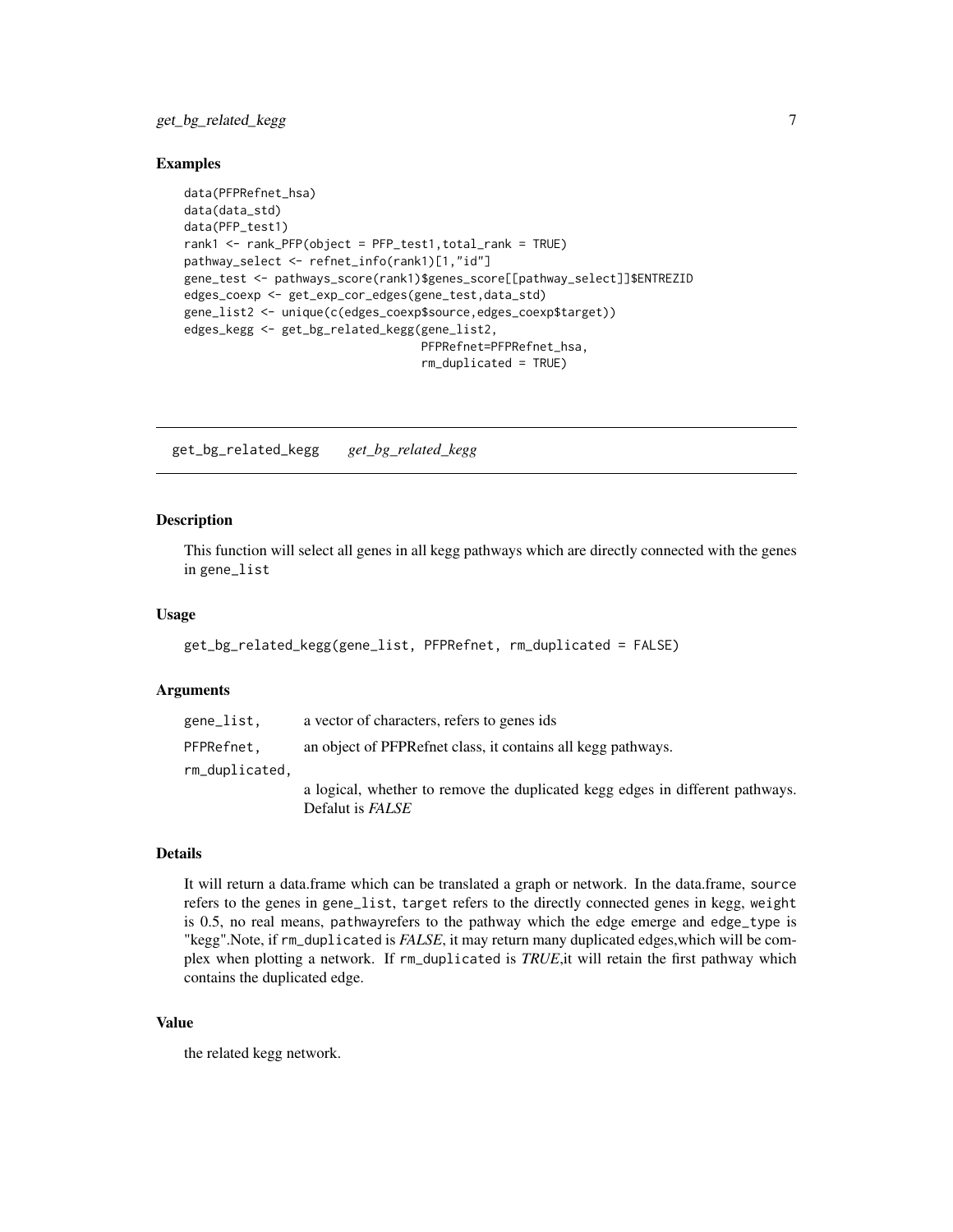## <span id="page-6-0"></span>get\_bg\_related\_kegg 7

#### Examples

```
data(PFPRefnet_hsa)
data(data_std)
data(PFP_test1)
rank1 <- rank_PFP(object = PFP_test1,total_rank = TRUE)
pathway_select <- refnet_info(rank1)[1,"id"]
gene_test <- pathways_score(rank1)$genes_score[[pathway_select]]$ENTREZID
edges_coexp <- get_exp_cor_edges(gene_test,data_std)
gene_list2 <- unique(c(edges_coexp$source,edges_coexp$target))
edges_kegg <- get_bg_related_kegg(gene_list2,
                                  PFPRefnet=PFPRefnet_hsa,
                                  rm_duplicated = TRUE)
```
get\_bg\_related\_kegg *get\_bg\_related\_kegg*

#### Description

This function will select all genes in all kegg pathways which are directly connected with the genes in gene\_list

#### Usage

```
get_bg_related_kegg(gene_list, PFPRefnet, rm_duplicated = FALSE)
```
#### Arguments

| gene_list.     | a vector of characters, refers to genes ids                                                              |
|----------------|----------------------------------------------------------------------------------------------------------|
| PFPRefnet.     | an object of PFPR effect class, it contains all kegg pathways.                                           |
| rm_duplicated. |                                                                                                          |
|                | a logical, whether to remove the duplicated kegg edges in different pathways.<br>Defalut is <i>FALSE</i> |

#### Details

It will return a data.frame which can be translated a graph or network. In the data.frame, source refers to the genes in gene\_list, target refers to the directly connected genes in kegg, weight is 0.5, no real means, pathwayrefers to the pathway which the edge emerge and edge\_type is "kegg".Note, if rm\_duplicated is *FALSE*, it may return many duplicated edges,which will be complex when plotting a network. If rm\_duplicated is *TRUE*,it will retain the first pathway which contains the duplicated edge.

#### Value

the related kegg network.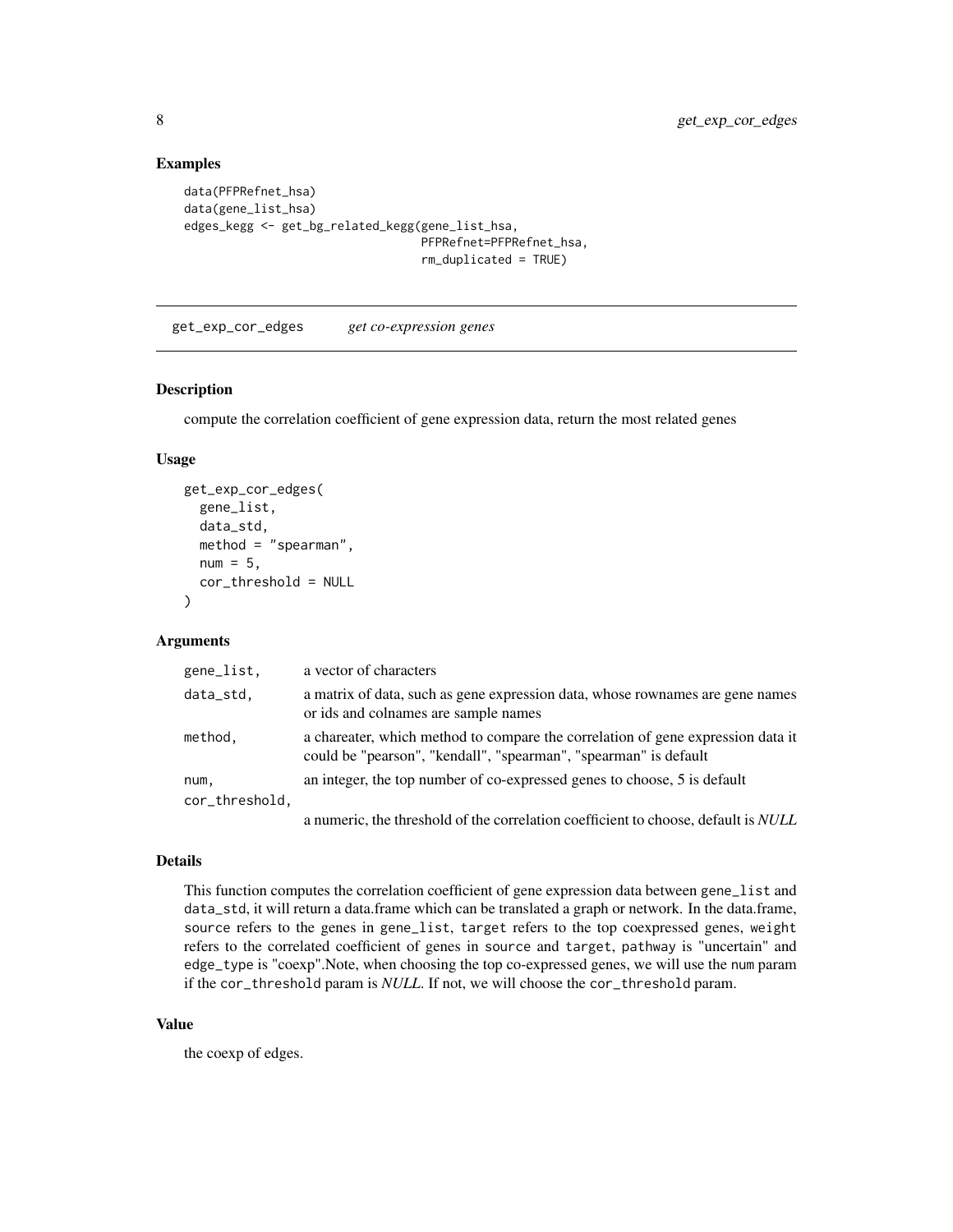## Examples

```
data(PFPRefnet_hsa)
data(gene_list_hsa)
edges_kegg <- get_bg_related_kegg(gene_list_hsa,
                                  PFPRefnet=PFPRefnet_hsa,
                                  rm_duplicated = TRUE)
```
<span id="page-7-1"></span>get\_exp\_cor\_edges *get co-expression genes*

#### Description

compute the correlation coefficient of gene expression data, return the most related genes

#### Usage

```
get_exp_cor_edges(
  gene_list,
  data_std,
  method = "spearman",
  num = 5,
  cor_threshold = NULL
)
```
## Arguments

| gene_list,             | a vector of characters                                                                                                                              |
|------------------------|-----------------------------------------------------------------------------------------------------------------------------------------------------|
| data_std,              | a matrix of data, such as gene expression data, whose rownames are gene names<br>or ids and colnames are sample names                               |
| method,                | a chareater, which method to compare the correlation of gene expression data it<br>could be "pearson", "kendall", "spearman", "spearman" is default |
| num,<br>cor_threshold, | an integer, the top number of co-expressed genes to choose, 5 is default                                                                            |
|                        | a numeric, the threshold of the correlation coefficient to choose, default is <i>NULL</i>                                                           |

#### Details

This function computes the correlation coefficient of gene expression data between gene\_list and data\_std, it will return a data.frame which can be translated a graph or network. In the data.frame, source refers to the genes in gene\_list, target refers to the top coexpressed genes, weight refers to the correlated coefficient of genes in source and target, pathway is "uncertain" and edge\_type is "coexp".Note, when choosing the top co-expressed genes, we will use the num param if the cor\_threshold param is *NULL*. If not, we will choose the cor\_threshold param.

#### Value

the coexp of edges.

<span id="page-7-0"></span>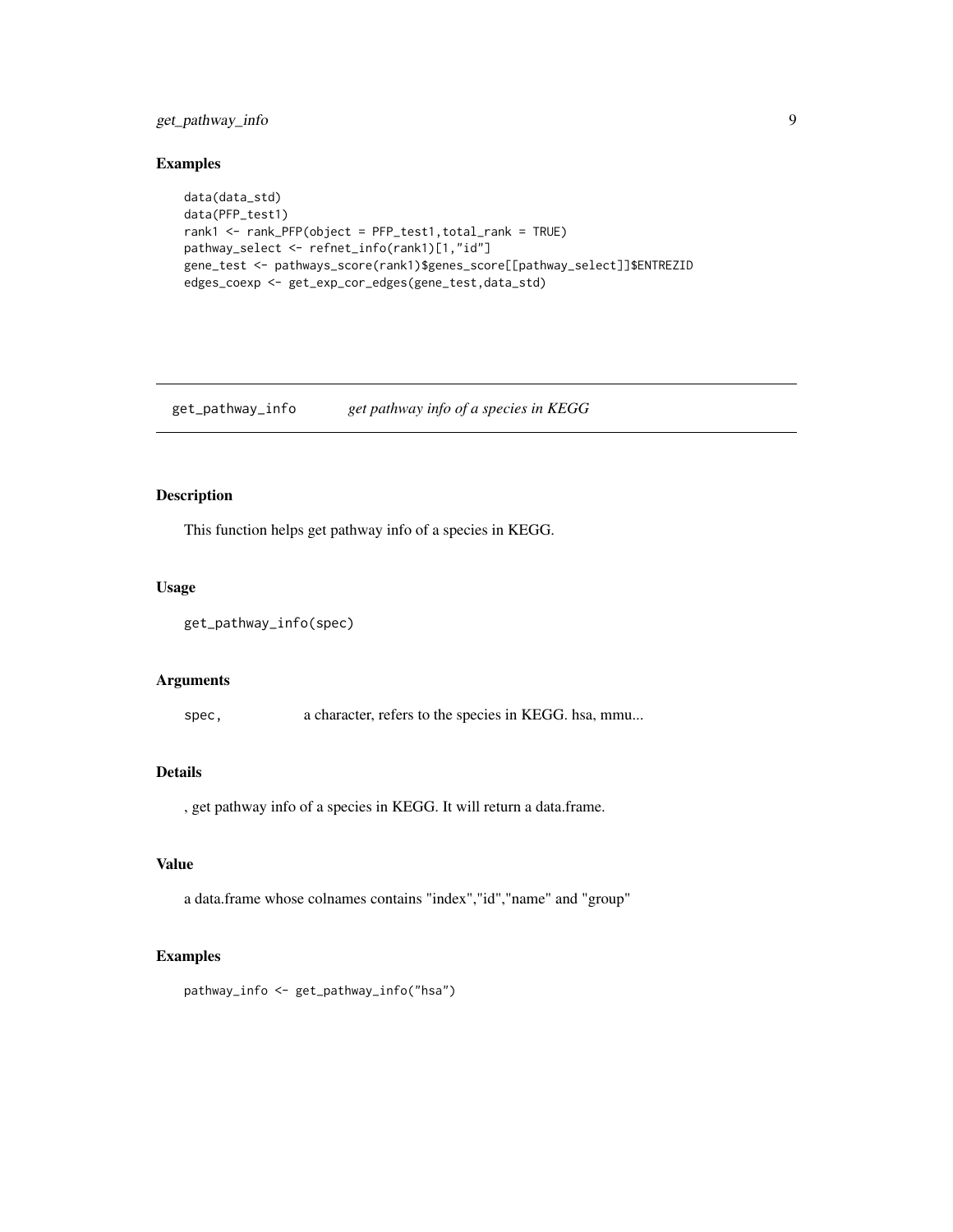## <span id="page-8-0"></span>get\_pathway\_info 9

#### Examples

```
data(data_std)
data(PFP_test1)
rank1 <- rank_PFP(object = PFP_test1,total_rank = TRUE)
pathway_select <- refnet_info(rank1)[1,"id"]
gene_test <- pathways_score(rank1)$genes_score[[pathway_select]]$ENTREZID
edges_coexp <- get_exp_cor_edges(gene_test,data_std)
```
get\_pathway\_info *get pathway info of a species in KEGG*

## Description

This function helps get pathway info of a species in KEGG.

#### Usage

```
get_pathway_info(spec)
```
#### Arguments

spec, a character, refers to the species in KEGG. hsa, mmu...

#### Details

, get pathway info of a species in KEGG. It will return a data.frame.

## Value

a data.frame whose colnames contains "index","id","name" and "group"

#### Examples

pathway\_info <- get\_pathway\_info("hsa")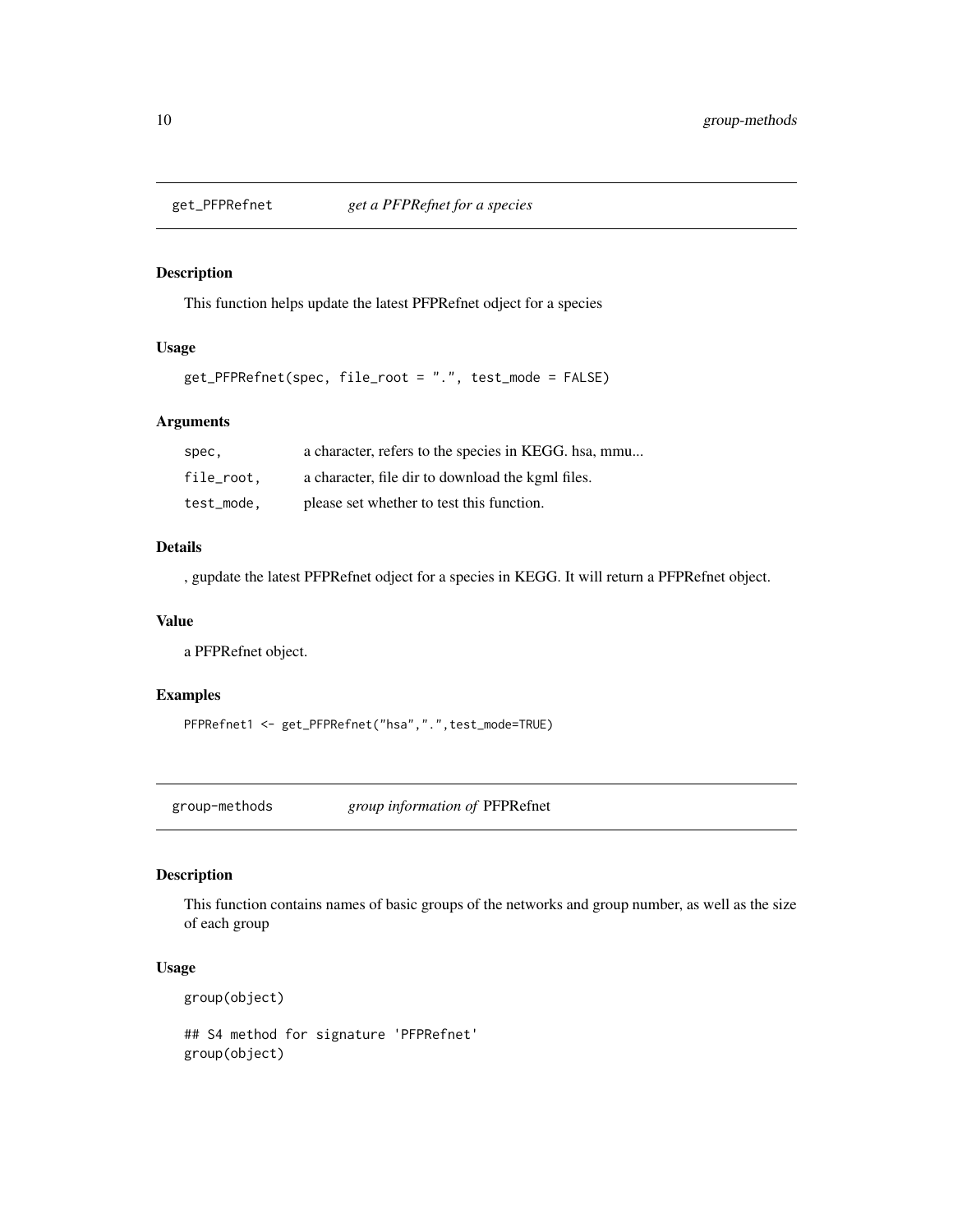<span id="page-9-0"></span>

This function helps update the latest PFPRefnet odject for a species

## Usage

```
get_PFPRefnet(spec, file_root = ".", test_mode = FALSE)
```
## Arguments

| spec,      | a character, refers to the species in KEGG. hsa, mmu |
|------------|------------------------------------------------------|
| file_root. | a character, file dir to download the kgml files.    |
| test_mode. | please set whether to test this function.            |

#### Details

, gupdate the latest PFPRefnet odject for a species in KEGG. It will return a PFPRefnet object.

#### Value

a PFPRefnet object.

## Examples

```
PFPRefnet1 <- get_PFPRefnet("hsa",".",test_mode=TRUE)
```
<span id="page-9-1"></span>group-methods *group information of* PFPRefnet

#### Description

This function contains names of basic groups of the networks and group number, as well as the size of each group

## Usage

```
group(object)
```
## S4 method for signature 'PFPRefnet' group(object)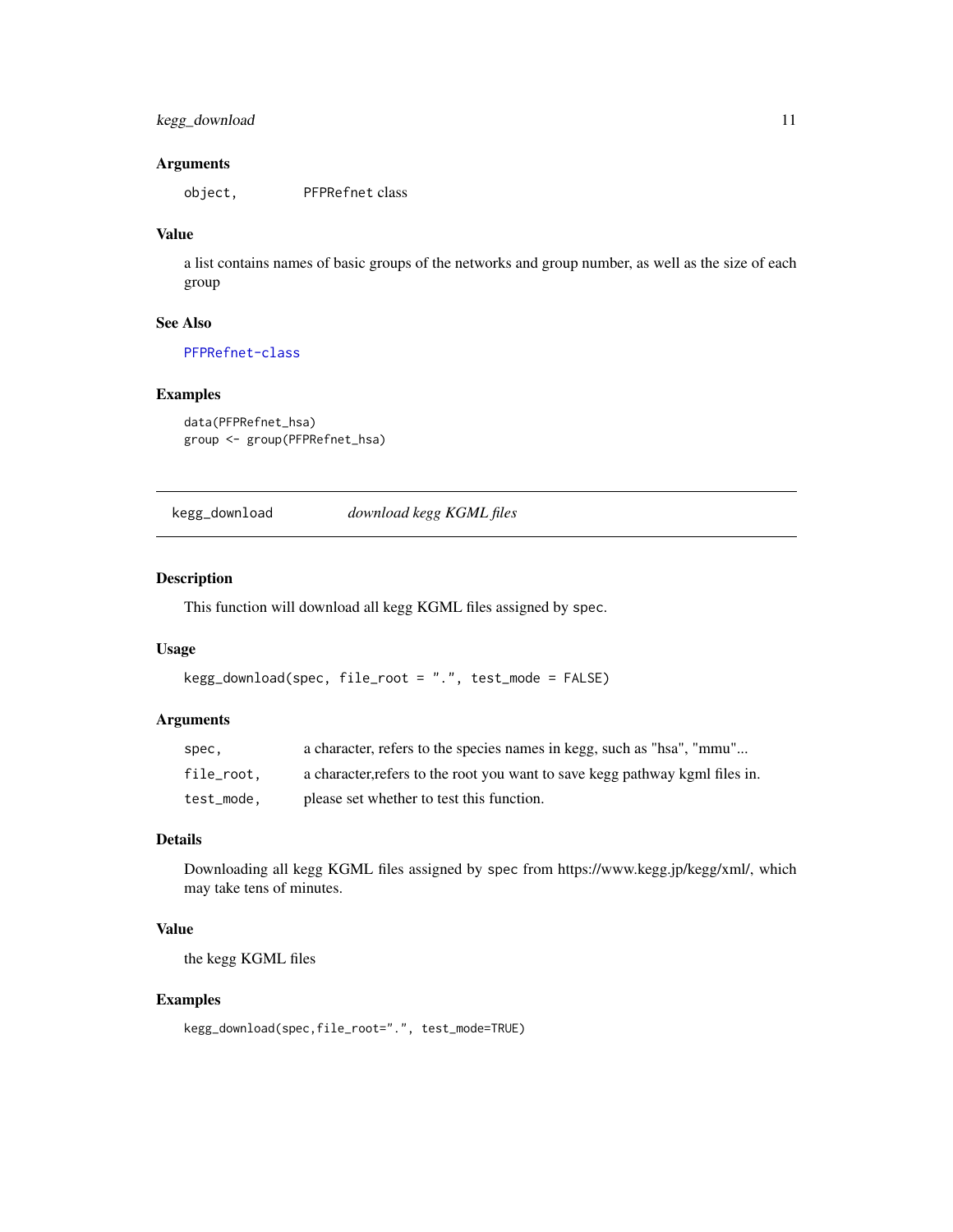## <span id="page-10-0"></span>kegg\_download 11

#### Arguments

object, PFPRefnet class

#### Value

a list contains names of basic groups of the networks and group number, as well as the size of each group

#### See Also

[PFPRefnet-class](#page-15-1)

## Examples

```
data(PFPRefnet_hsa)
group <- group(PFPRefnet_hsa)
```
kegg\_download *download kegg KGML files*

#### Description

This function will download all kegg KGML files assigned by spec.

#### Usage

```
kegg_download(spec, file_root = ".", test_mode = FALSE)
```
## Arguments

| spec.      | a character, refers to the species names in kegg, such as "hsa", "mmu"       |
|------------|------------------------------------------------------------------------------|
| file_root, | a character, refers to the root you want to save kegg pathway kgml files in. |
| test_mode, | please set whether to test this function.                                    |

## Details

Downloading all kegg KGML files assigned by spec from https://www.kegg.jp/kegg/xml/, which may take tens of minutes.

## Value

the kegg KGML files

```
kegg_download(spec,file_root=".", test_mode=TRUE)
```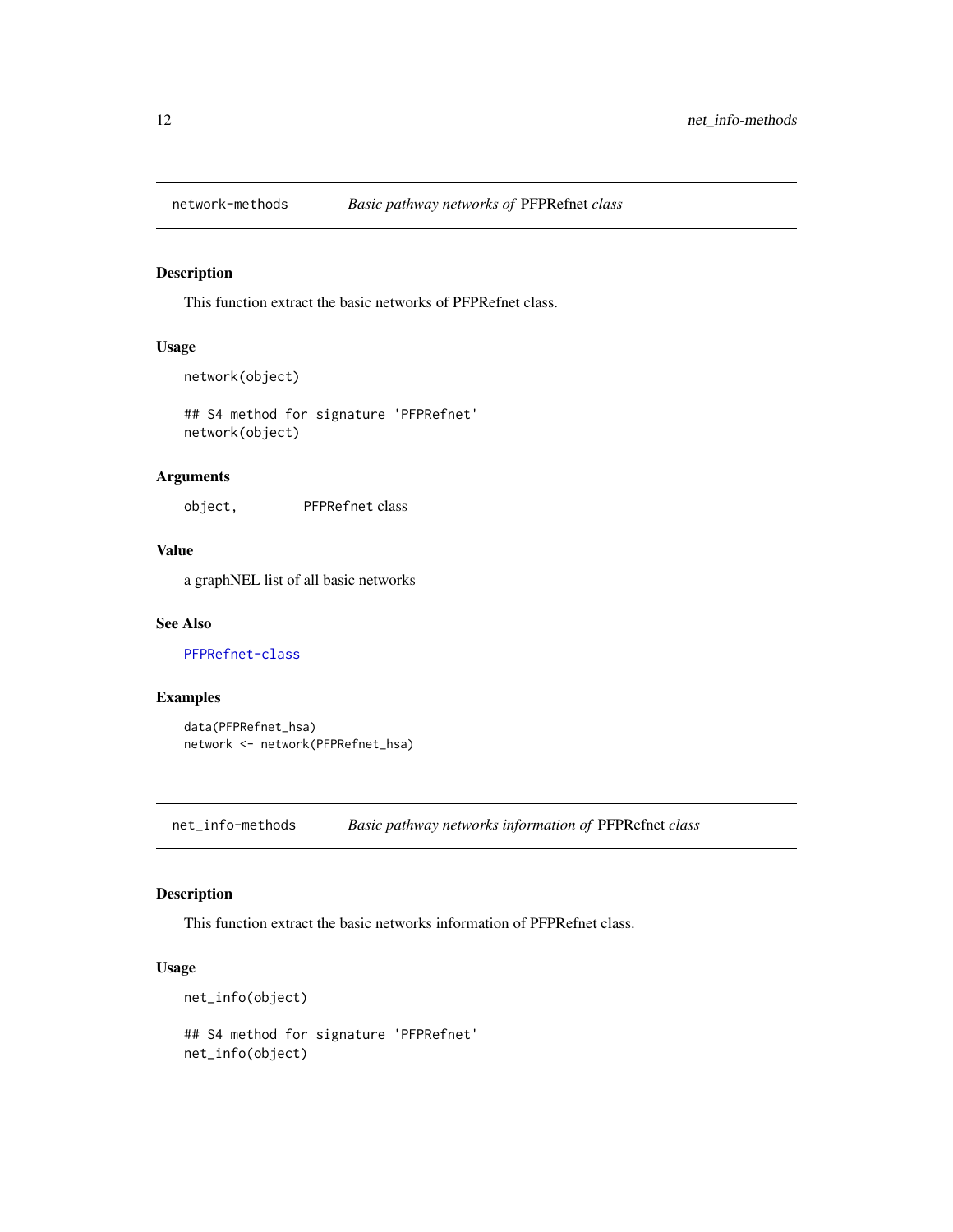<span id="page-11-2"></span><span id="page-11-0"></span>

This function extract the basic networks of PFPRefnet class.

## Usage

```
network(object)
```
## S4 method for signature 'PFPRefnet' network(object)

## Arguments

object, PFPRefnet class

## Value

a graphNEL list of all basic networks

#### See Also

[PFPRefnet-class](#page-15-1)

## Examples

```
data(PFPRefnet_hsa)
network <- network(PFPRefnet_hsa)
```
<span id="page-11-3"></span>net\_info-methods *Basic pathway networks information of* PFPRefnet *class*

## <span id="page-11-1"></span>Description

This function extract the basic networks information of PFPRefnet class.

#### Usage

```
net_info(object)
## S4 method for signature 'PFPRefnet'
net_info(object)
```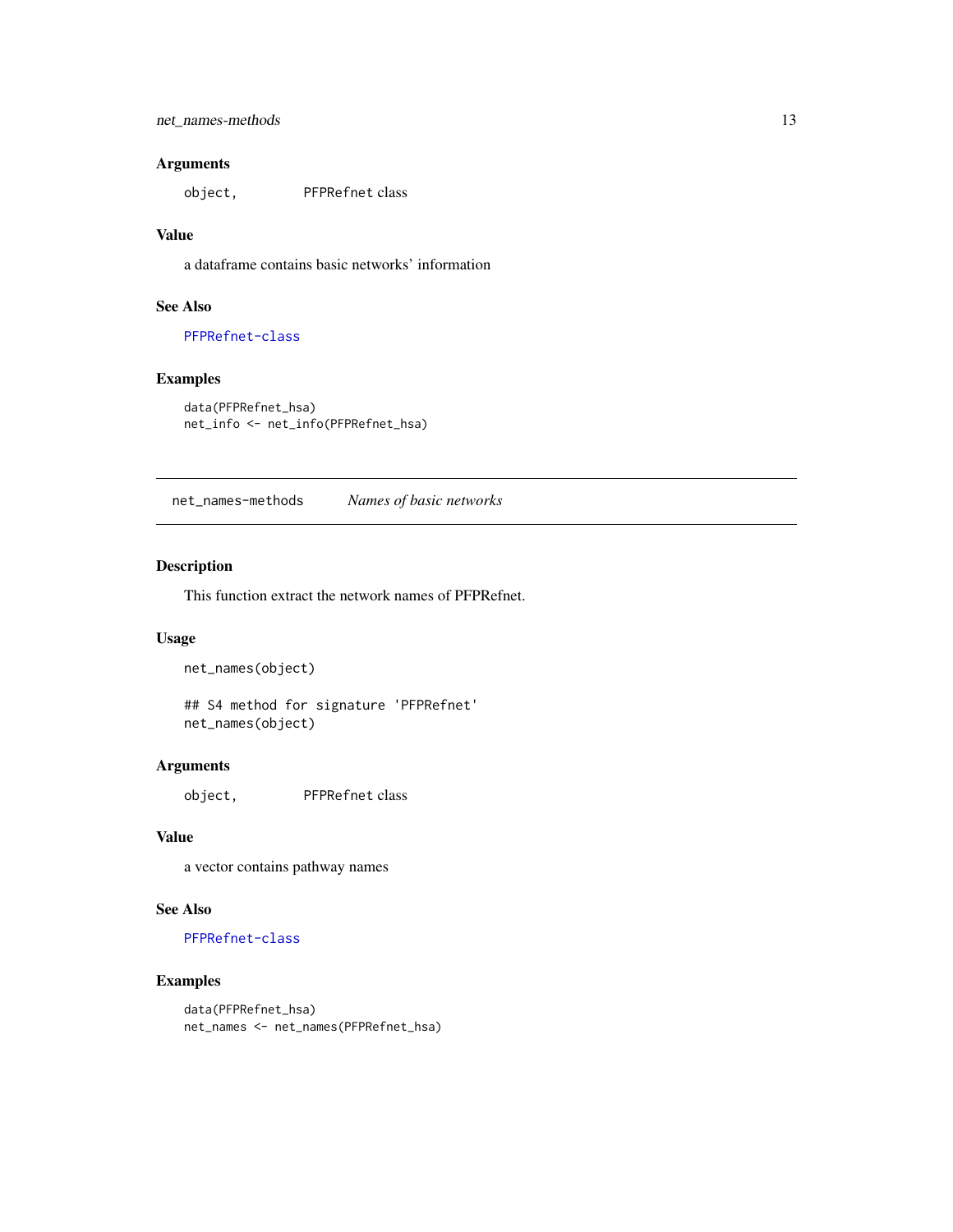#### <span id="page-12-0"></span>Arguments

object, PFPRefnet class

## Value

a dataframe contains basic networks' information

#### See Also

[PFPRefnet-class](#page-15-1)

## Examples

data(PFPRefnet\_hsa) net\_info <- net\_info(PFPRefnet\_hsa)

<span id="page-12-1"></span>net\_names-methods *Names of basic networks*

#### Description

This function extract the network names of PFPRefnet.

## Usage

net\_names(object)

## S4 method for signature 'PFPRefnet' net\_names(object)

#### Arguments

object, PFPRefnet class

#### Value

a vector contains pathway names

## See Also

[PFPRefnet-class](#page-15-1)

## Examples

data(PFPRefnet\_hsa) net\_names <- net\_names(PFPRefnet\_hsa)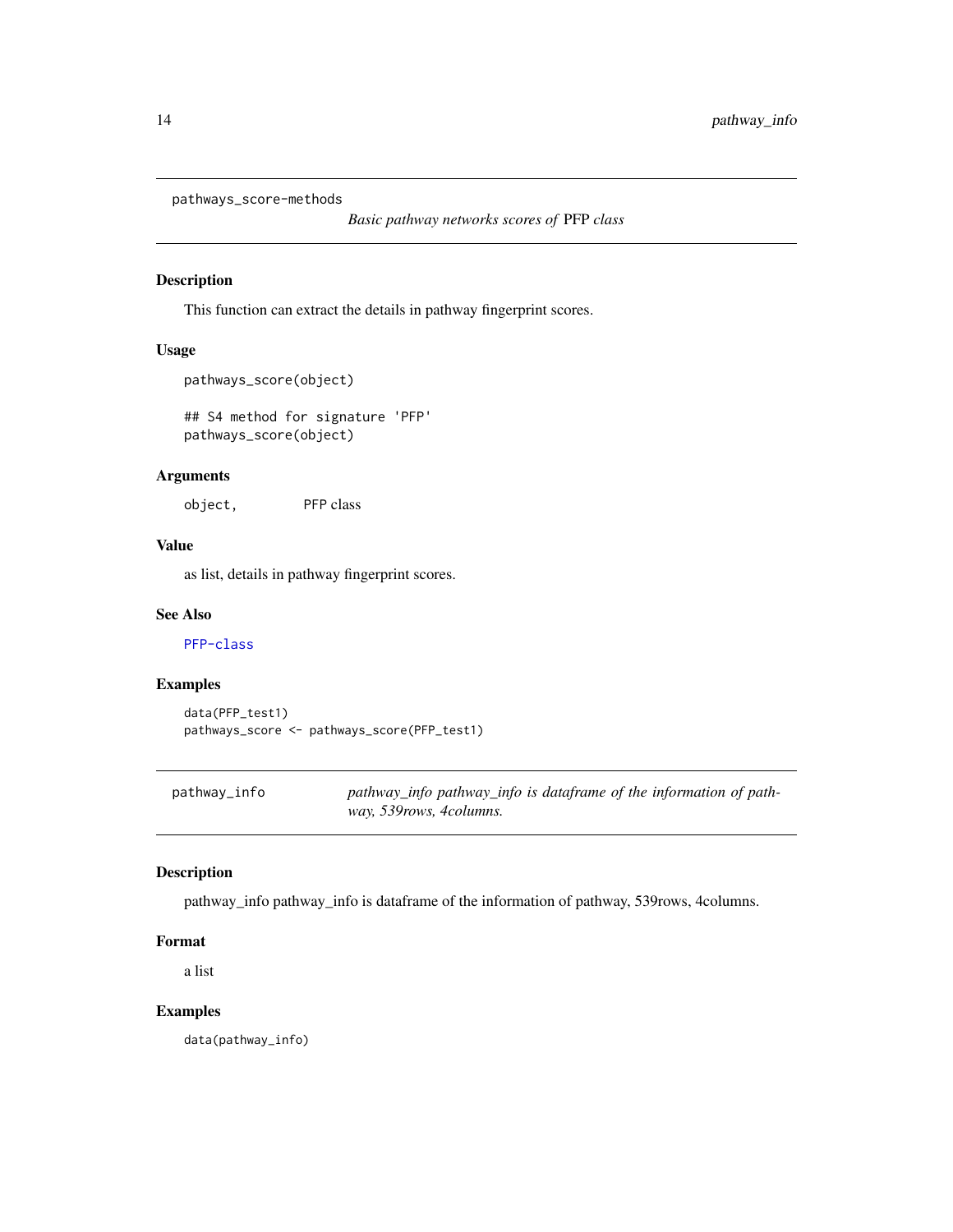```
pathways_score-methods
```
*Basic pathway networks scores of* PFP *class*

## Description

This function can extract the details in pathway fingerprint scores.

## Usage

```
pathways_score(object)
```
## S4 method for signature 'PFP' pathways\_score(object)

#### Arguments

object, PFP class

#### Value

as list, details in pathway fingerprint scores.

#### See Also

[PFP-class](#page-14-1)

## Examples

data(PFP\_test1) pathways\_score <- pathways\_score(PFP\_test1)

pathway\_info *pathway\_info pathway\_info is dataframe of the information of pathway, 539rows, 4columns.*

## Description

pathway\_info pathway\_info is dataframe of the information of pathway, 539rows, 4columns.

#### Format

a list

#### Examples

data(pathway\_info)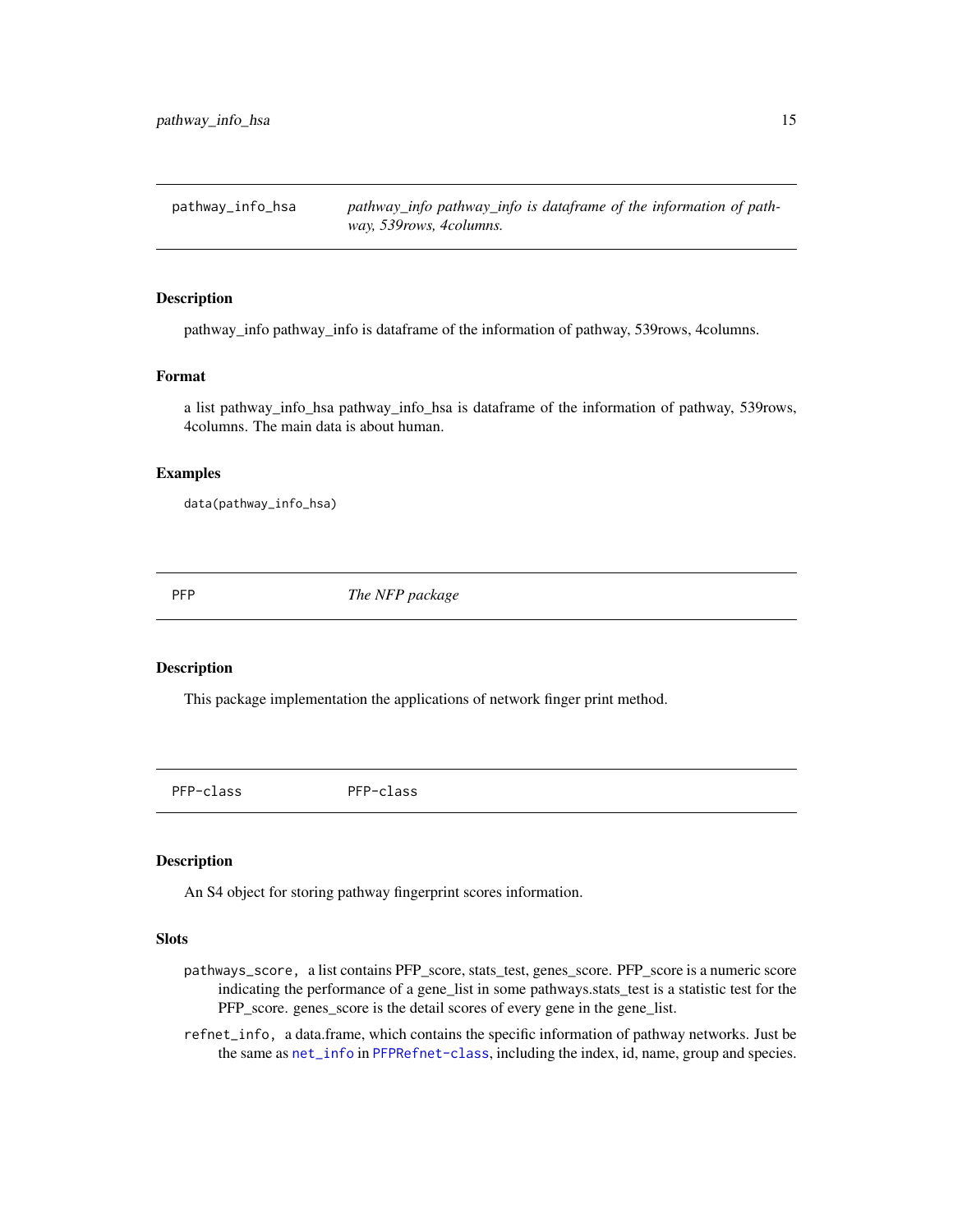<span id="page-14-0"></span>pathway\_info\_hsa *pathway\_info pathway\_info is dataframe of the information of pathway, 539rows, 4columns.*

#### Description

pathway\_info pathway\_info is dataframe of the information of pathway, 539rows, 4columns.

#### Format

a list pathway\_info\_hsa pathway\_info\_hsa is dataframe of the information of pathway, 539rows, 4columns. The main data is about human.

#### Examples

data(pathway\_info\_hsa)

PFP *The NFP package*

#### Description

This package implementation the applications of network finger print method.

<span id="page-14-1"></span>PFP-class PFP-class

#### Description

An S4 object for storing pathway fingerprint scores information.

#### Slots

- pathways\_score, a list contains PFP\_score, stats\_test, genes\_score. PFP\_score is a numeric score indicating the performance of a gene\_list in some pathways.stats\_test is a statistic test for the PFP\_score. genes\_score is the detail scores of every gene in the gene\_list.
- refnet\_info, a data.frame, which contains the specific information of pathway networks. Just be the same as [net\\_info](#page-11-1) in [PFPRefnet-class](#page-15-1), including the index, id, name, group and species.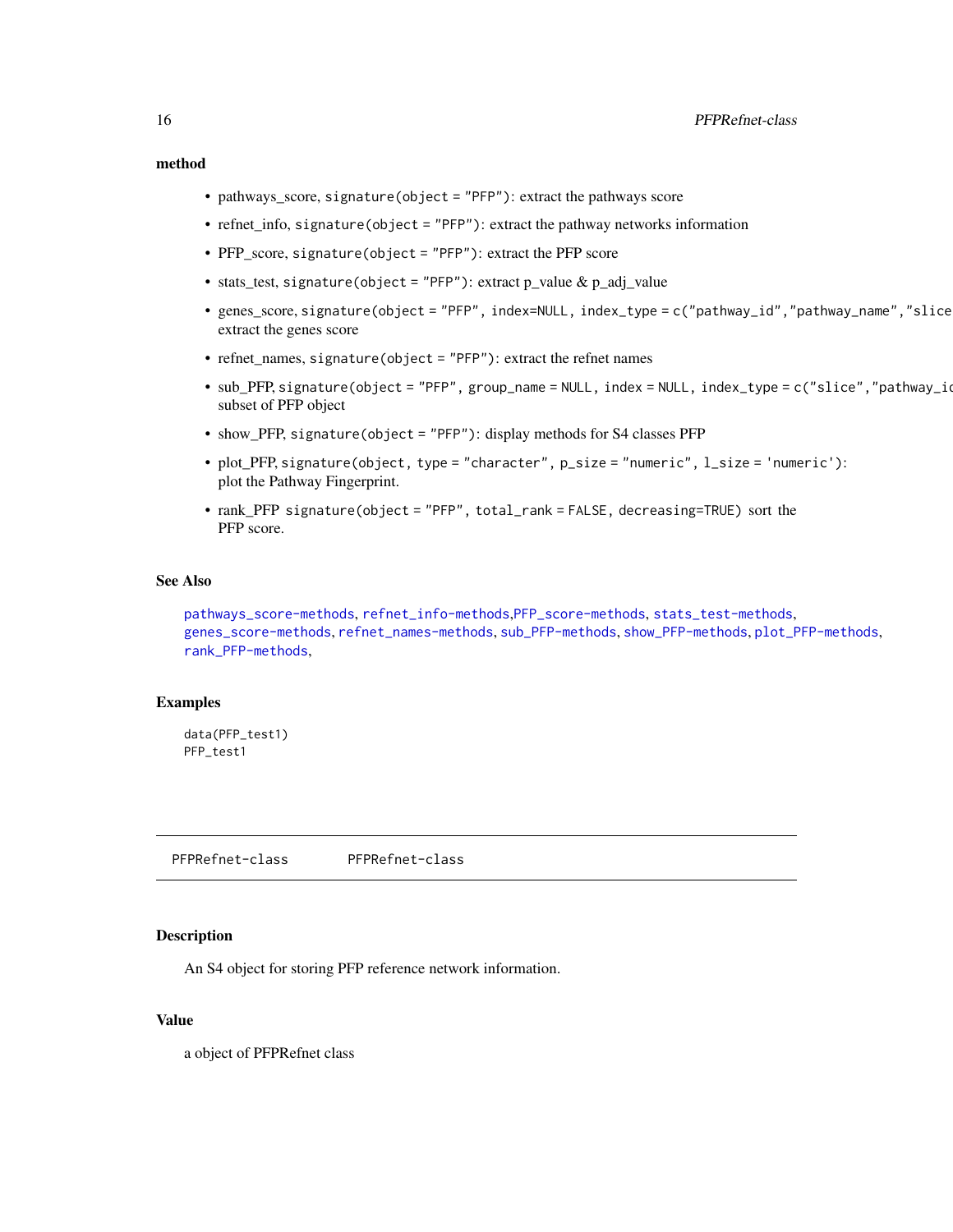#### <span id="page-15-0"></span>method

- pathways\_score, signature(object = "PFP"): extract the pathways score
- refnet\_info, signature(object = "PFP"): extract the pathway networks information
- PFP\_score, signature(object = "PFP"): extract the PFP score
- stats test, signature(object = "PFP"): extract p\_value & p\_adj\_value
- genes\_score, signature(object = "PFP", index=NULL, index\_type = c("pathway\_id","pathway\_name","slice")): extract the genes score
- refnet\_names, signature(object = "PFP"): extract the refnet names
- sub\_PFP, signature(object = "PFP", group\_name = NULL, index = NULL, index\_type = c("slice","pathway\_id") subset of PFP object
- show\_PFP, signature(object = "PFP"): display methods for S4 classes PFP
- plot\_PFP, signature(object, type = "character", p\_size = "numeric", l\_size = 'numeric'): plot the Pathway Fingerprint.
- rank\_PFP signature(object = "PFP", total\_rank = FALSE, decreasing=TRUE) sort the PFP score.

#### See Also

[pathways\\_score-methods](#page-13-1), [refnet\\_info-methods](#page-21-1),[PFP\\_score-methods](#page-17-1), [stats\\_test-methods](#page-25-1), [genes\\_score-methods](#page-3-1), [refnet\\_names-methods](#page-22-1), [sub\\_PFP-methods](#page-27-1), [show\\_PFP-methods](#page-24-1), [plot\\_PFP-methods](#page-19-1), [rank\\_PFP-methods](#page-20-1),

#### Examples

data(PFP\_test1) PFP\_test1

<span id="page-15-1"></span>PFPRefnet-class PFPRefnet-class

#### **Description**

An S4 object for storing PFP reference network information.

## Value

a object of PFPRefnet class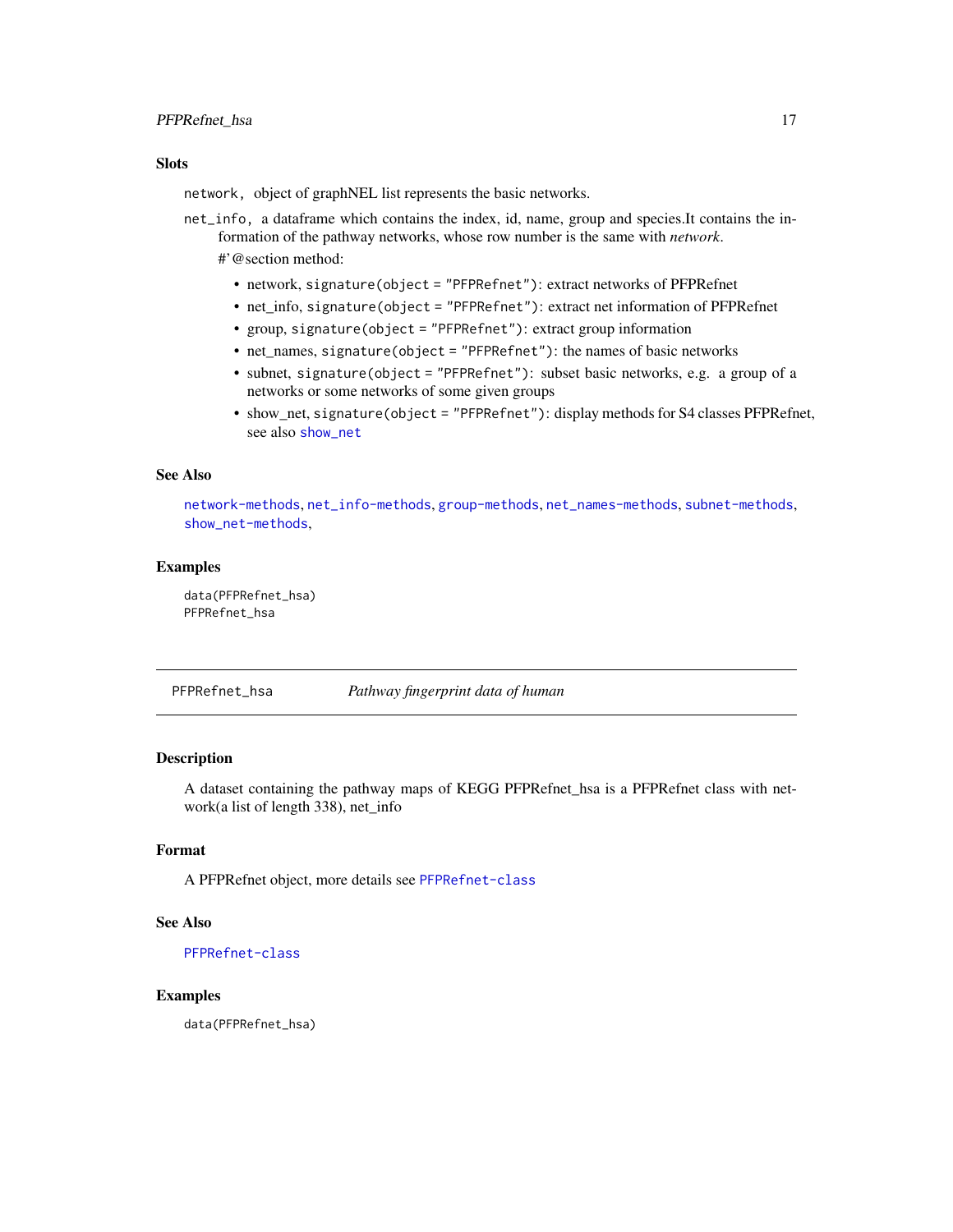#### <span id="page-16-0"></span>PFPRefnet\_hsa 17

#### **Slots**

network, object of graphNEL list represents the basic networks.

- net\_info, a dataframe which contains the index, id, name, group and species.It contains the information of the pathway networks, whose row number is the same with *network*. #'@section method:
	- network, signature(object = "PFPRefnet"): extract networks of PFPRefnet
	- net\_info, signature(object = "PFPRefnet"): extract net information of PFPRefnet
	- group, signature(object = "PFPRefnet"): extract group information
	- net\_names, signature(object = "PFPRefnet"): the names of basic networks
	- subnet, signature(object = "PFPRefnet"): subset basic networks, e.g. a group of a networks or some networks of some given groups
	- show net, signature(object = "PFPRefnet"): display methods for S4 classes PFPRefnet, see also [show\\_net](#page-24-2)

#### See Also

[network-methods](#page-11-2), [net\\_info-methods](#page-11-3), [group-methods](#page-9-1), [net\\_names-methods](#page-12-1), [subnet-methods](#page-26-1), [show\\_net-methods](#page-24-3),

#### Examples

data(PFPRefnet\_hsa) PFPRefnet\_hsa

PFPRefnet\_hsa *Pathway fingerprint data of human*

#### Description

A dataset containing the pathway maps of KEGG PFPRefnet hsa is a PFPRefnet class with network(a list of length 338), net\_info

#### Format

A PFPRefnet object, more details see [PFPRefnet-class](#page-15-1)

#### See Also

[PFPRefnet-class](#page-15-1)

#### Examples

data(PFPRefnet\_hsa)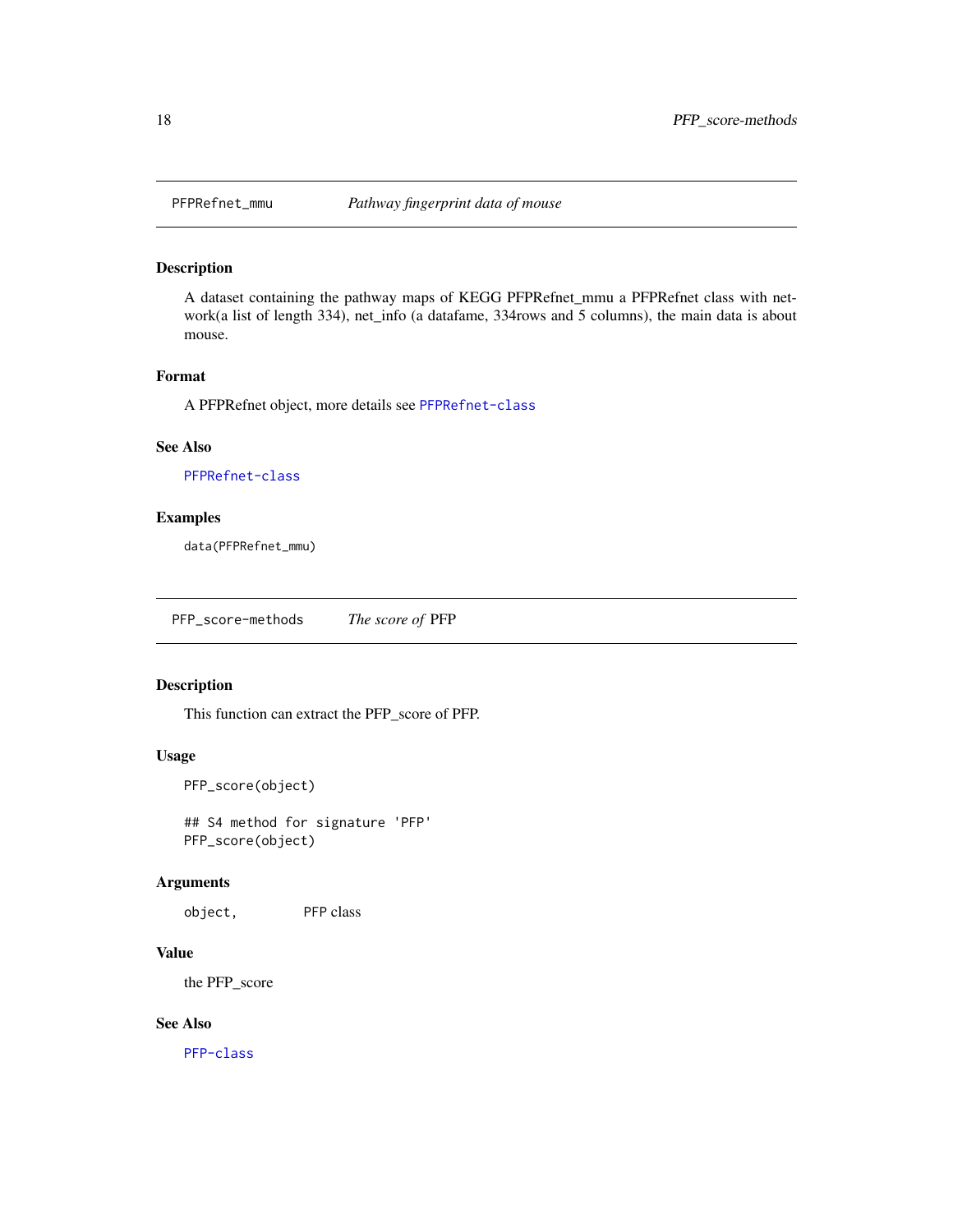<span id="page-17-0"></span>

A dataset containing the pathway maps of KEGG PFPRefnet\_mmu a PFPRefnet class with network(a list of length 334), net\_info (a datafame, 334rows and 5 columns), the main data is about mouse.

## Format

A PFPRefnet object, more details see [PFPRefnet-class](#page-15-1)

#### See Also

[PFPRefnet-class](#page-15-1)

#### Examples

data(PFPRefnet\_mmu)

<span id="page-17-1"></span>PFP\_score-methods *The score of* PFP

#### Description

This function can extract the PFP\_score of PFP.

#### Usage

```
PFP_score(object)
```
## S4 method for signature 'PFP' PFP\_score(object)

#### Arguments

object, PFP class

#### Value

the PFP\_score

## See Also

[PFP-class](#page-14-1)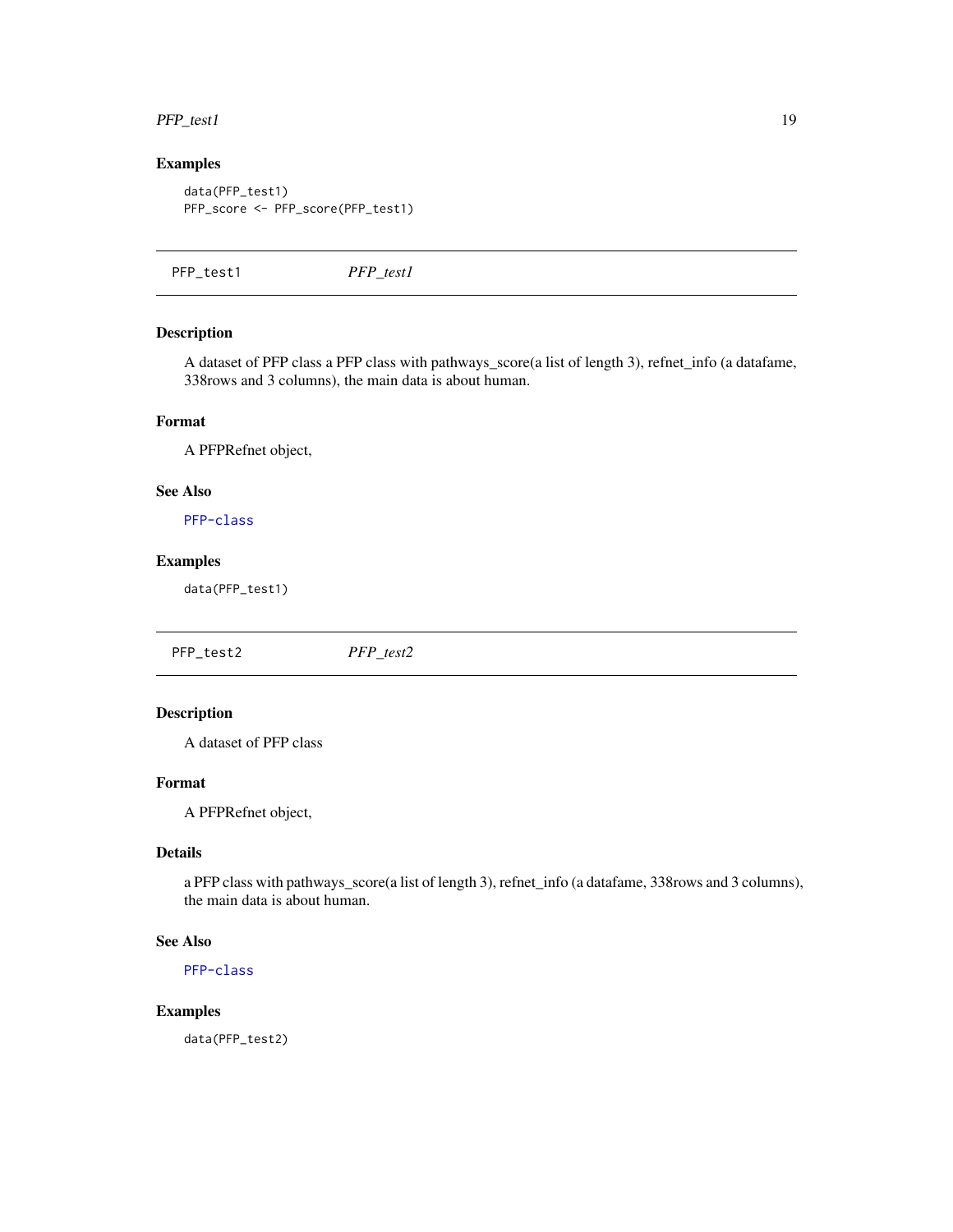#### <span id="page-18-0"></span> $PFP_test1$  19

## Examples

```
data(PFP_test1)
PFP_score <- PFP_score(PFP_test1)
```
PFP\_test1 *PFP\_test1*

## Description

A dataset of PFP class a PFP class with pathways\_score(a list of length 3), refnet\_info (a datafame, 338rows and 3 columns), the main data is about human.

#### Format

A PFPRefnet object,

#### See Also

[PFP-class](#page-14-1)

## Examples

data(PFP\_test1)

PFP\_test2 *PFP\_test2*

## Description

A dataset of PFP class

#### Format

A PFPRefnet object,

## Details

a PFP class with pathways\_score(a list of length 3), refnet\_info (a datafame, 338rows and 3 columns), the main data is about human.

#### See Also

[PFP-class](#page-14-1)

#### Examples

data(PFP\_test2)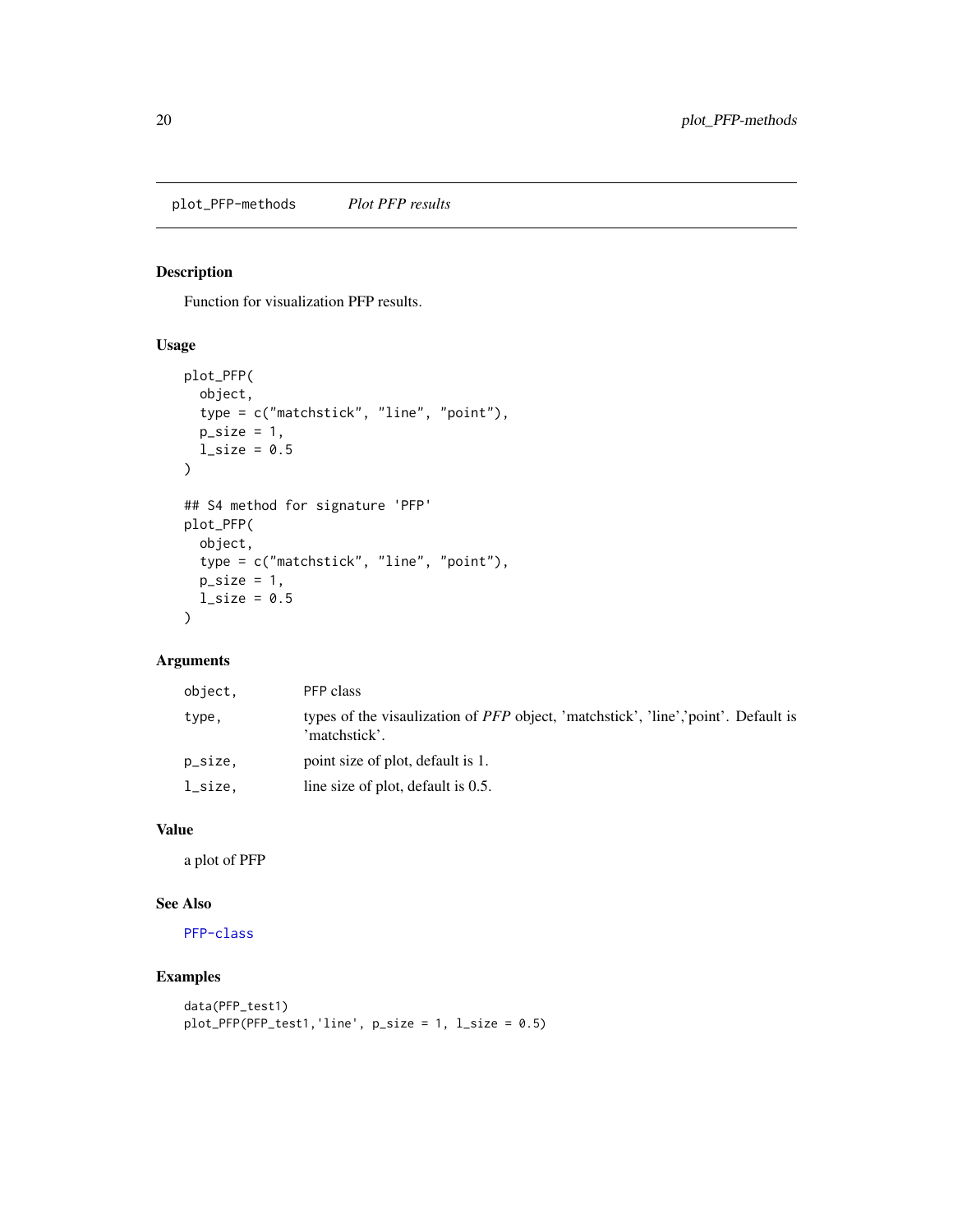<span id="page-19-1"></span><span id="page-19-0"></span>plot\_PFP-methods *Plot PFP results*

## Description

Function for visualization PFP results.

#### Usage

```
plot_PFP(
  object,
  type = c("matchstick", "line", "point"),
  p\_size = 1,
  l\_size = 0.5)
## S4 method for signature 'PFP'
plot_PFP(
  object,
  type = c("matchstick", "line", "point"),
  p\_size = 1,
  l\_size = 0.5\mathcal{L}
```
## Arguments

| object, | PFP class                                                                                                  |
|---------|------------------------------------------------------------------------------------------------------------|
| type,   | types of the visaulization of <i>PFP</i> object, 'matchstick', 'line','point'. Default is<br>'matchstick'. |
| p_size, | point size of plot, default is 1.                                                                          |
| l_size, | line size of plot, default is 0.5.                                                                         |

## Value

a plot of PFP

#### See Also

[PFP-class](#page-14-1)

```
data(PFP_test1)
plot_PFP(PFP_test1,'line', p_size = 1, l_size = 0.5)
```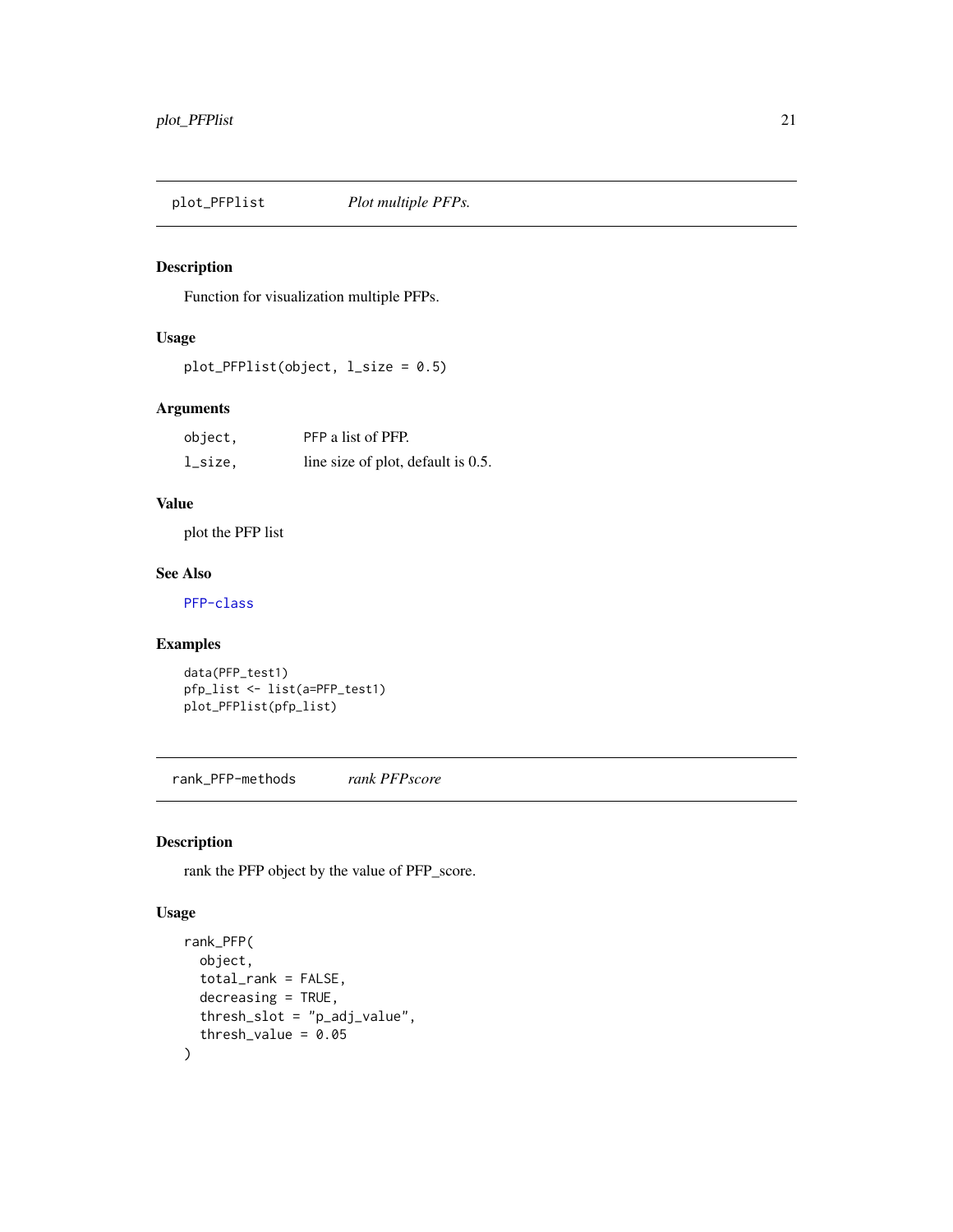<span id="page-20-0"></span>

Function for visualization multiple PFPs.

## Usage

```
plot_PFPlist(object, l_size = 0.5)
```
## Arguments

| object, | PFP a list of PFP.                 |
|---------|------------------------------------|
| l_size, | line size of plot, default is 0.5. |

## Value

plot the PFP list

## See Also

[PFP-class](#page-14-1)

## Examples

```
data(PFP_test1)
pfp_list <- list(a=PFP_test1)
plot_PFPlist(pfp_list)
```
<span id="page-20-1"></span>rank\_PFP-methods *rank PFPscore*

## Description

rank the PFP object by the value of PFP\_score.

#### Usage

```
rank_PFP(
  object,
  total_rank = FALSE,
  decreasing = TRUE,
  thresh_slot = "p_adj_value",
  threshold\_value = 0.05\mathcal{L}
```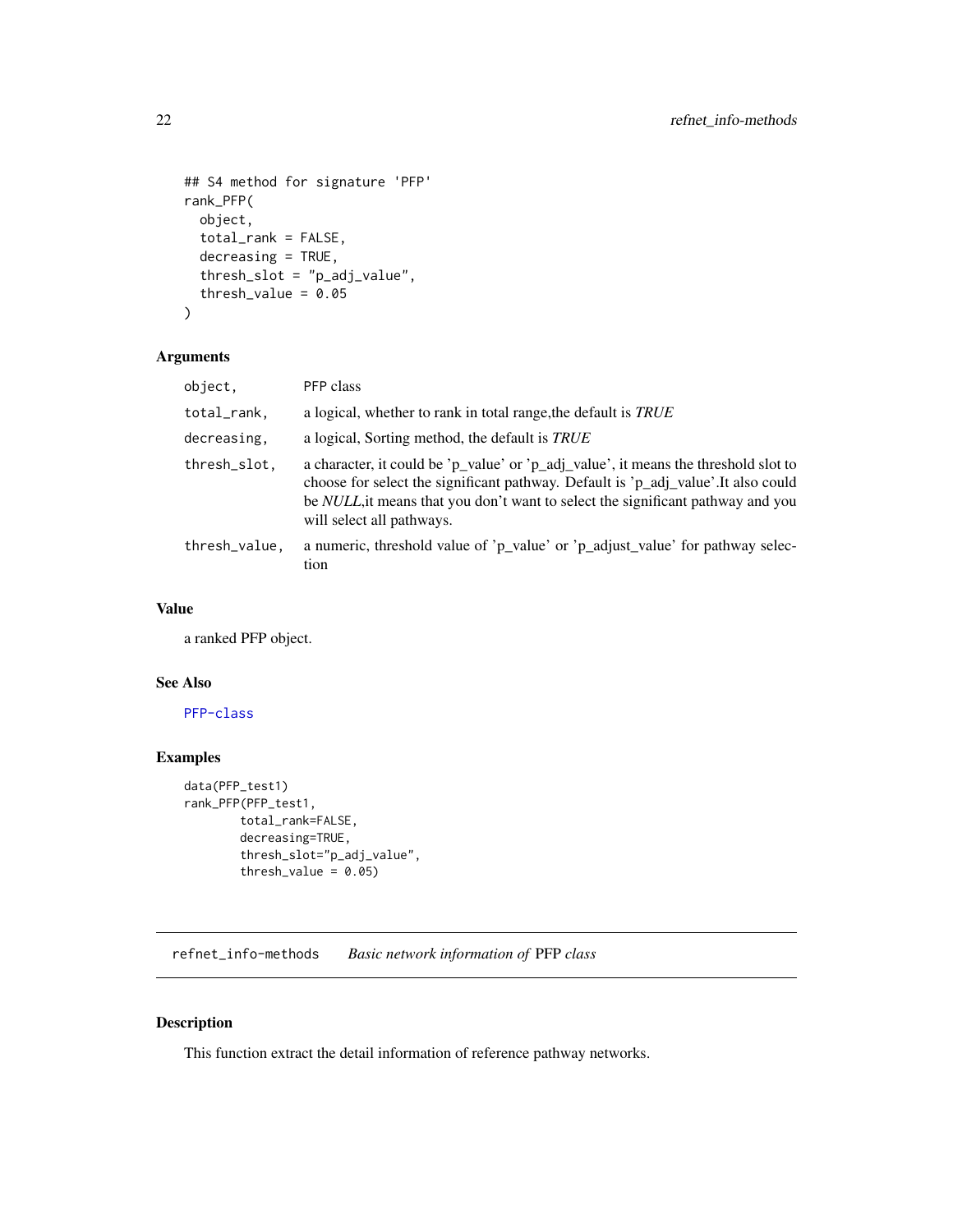```
## S4 method for signature 'PFP'
rank_PFP(
 object,
  total_rank = FALSE,
 decreasing = TRUE,
  thresh_slot = "p_adj_value",
  thresh_value = 0.05)
```
#### Arguments

| object.       | PFP class                                                                                                                                                                                                                                                                                        |
|---------------|--------------------------------------------------------------------------------------------------------------------------------------------------------------------------------------------------------------------------------------------------------------------------------------------------|
| total_rank,   | a logical, whether to rank in total range, the default is <i>TRUE</i>                                                                                                                                                                                                                            |
| decreasing,   | a logical, Sorting method, the default is TRUE                                                                                                                                                                                                                                                   |
| thresh_slot.  | a character, it could be 'p_value' or 'p_adj_value', it means the threshold slot to<br>choose for select the significant pathway. Default is 'p_adj_value'.It also could<br>be <i>NULL</i> , it means that you don't want to select the significant pathway and you<br>will select all pathways. |
| thresh_value, | a numeric, threshold value of 'p_value' or 'p_adjust_value' for pathway selec-<br>tion                                                                                                                                                                                                           |

## Value

a ranked PFP object.

#### See Also

[PFP-class](#page-14-1)

## Examples

```
data(PFP_test1)
rank_PFP(PFP_test1,
       total_rank=FALSE,
       decreasing=TRUE,
       thresh_slot="p_adj_value",
        thresh_value = 0.05)
```
<span id="page-21-1"></span>refnet\_info-methods *Basic network information of* PFP *class*

## Description

This function extract the detail information of reference pathway networks.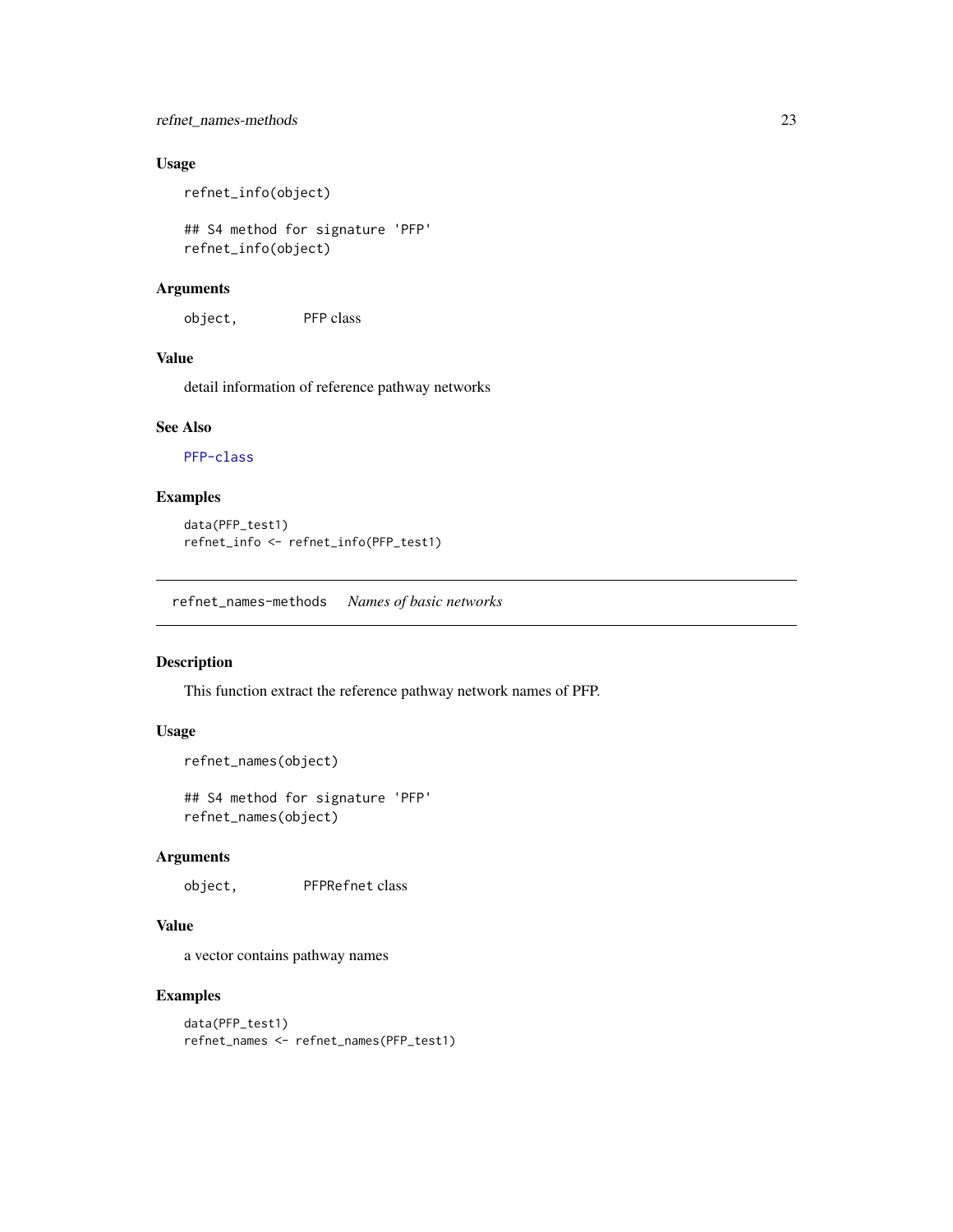## <span id="page-22-0"></span>refnet\_names-methods 23

## Usage

refnet\_info(object)

## S4 method for signature 'PFP' refnet\_info(object)

#### Arguments

object, PFP class

#### Value

detail information of reference pathway networks

#### See Also

[PFP-class](#page-14-1)

## Examples

```
data(PFP_test1)
refnet_info <- refnet_info(PFP_test1)
```
<span id="page-22-1"></span>refnet\_names-methods *Names of basic networks*

## Description

This function extract the reference pathway network names of PFP.

#### Usage

```
refnet_names(object)
```
## S4 method for signature 'PFP' refnet\_names(object)

## Arguments

object, PFPRefnet class

## Value

a vector contains pathway names

```
data(PFP_test1)
refnet_names <- refnet_names(PFP_test1)
```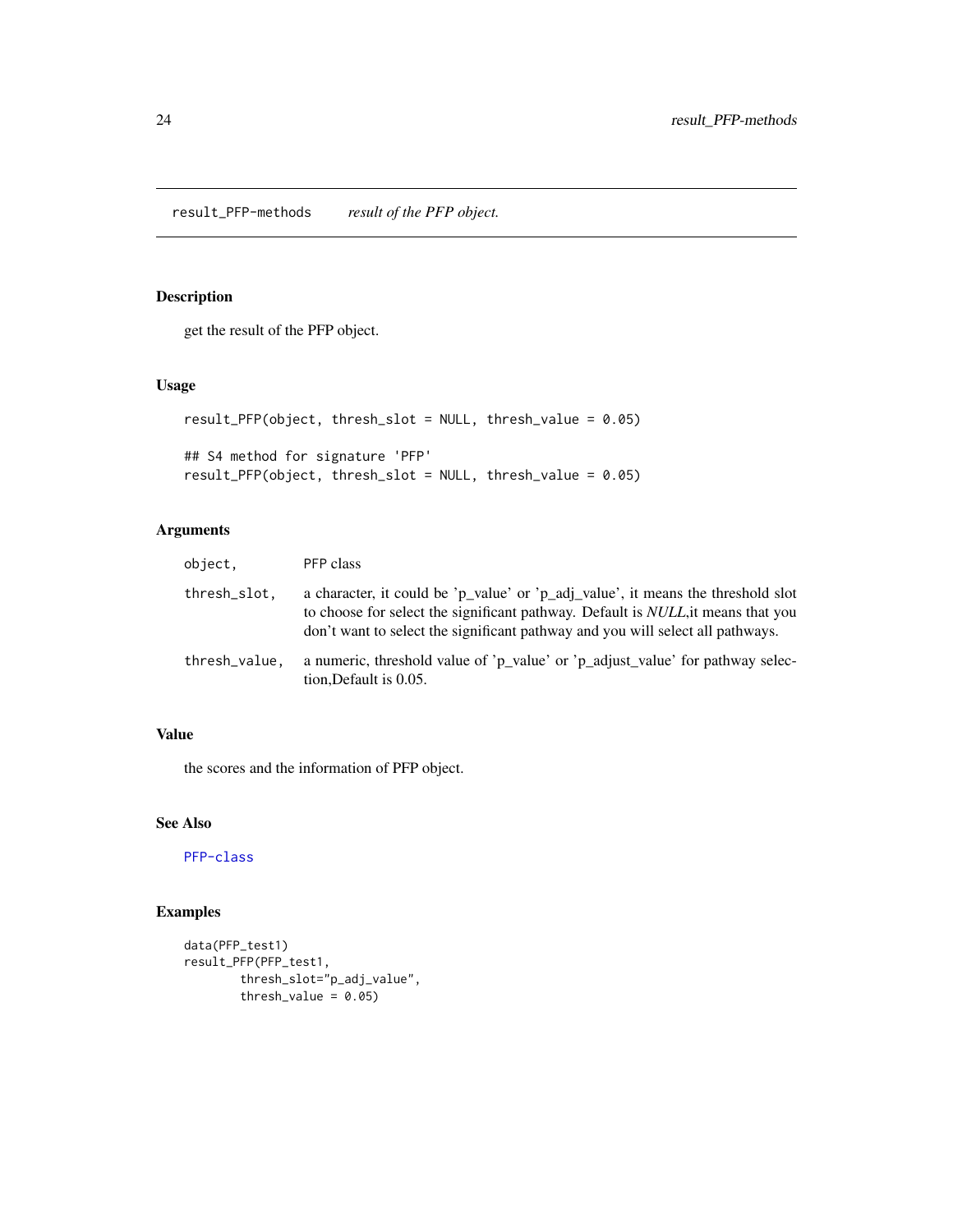<span id="page-23-0"></span>result\_PFP-methods *result of the PFP object.*

## Description

get the result of the PFP object.

#### Usage

```
result_PFP(object, thresh_slot = NULL, thresh_value = 0.05)
## S4 method for signature 'PFP'
result_PFP(object, thresh_slot = NULL, thresh_value = 0.05)
```
## Arguments

| object.       | PFP class                                                                                                                                                                                                                                                      |
|---------------|----------------------------------------------------------------------------------------------------------------------------------------------------------------------------------------------------------------------------------------------------------------|
| thresh_slot.  | a character, it could be 'p_value' or 'p_adj_value', it means the threshold slot<br>to choose for select the significant pathway. Default is <i>NULL</i> , it means that you<br>don't want to select the significant pathway and you will select all pathways. |
| thresh_value. | a numeric, threshold value of 'p_value' or 'p_adjust_value' for pathway selec-<br>tion, Default is 0.05.                                                                                                                                                       |

## Value

the scores and the information of PFP object.

## See Also

[PFP-class](#page-14-1)

```
data(PFP_test1)
result_PFP(PFP_test1,
       thresh_slot="p_adj_value",
       thresh_value = 0.05)
```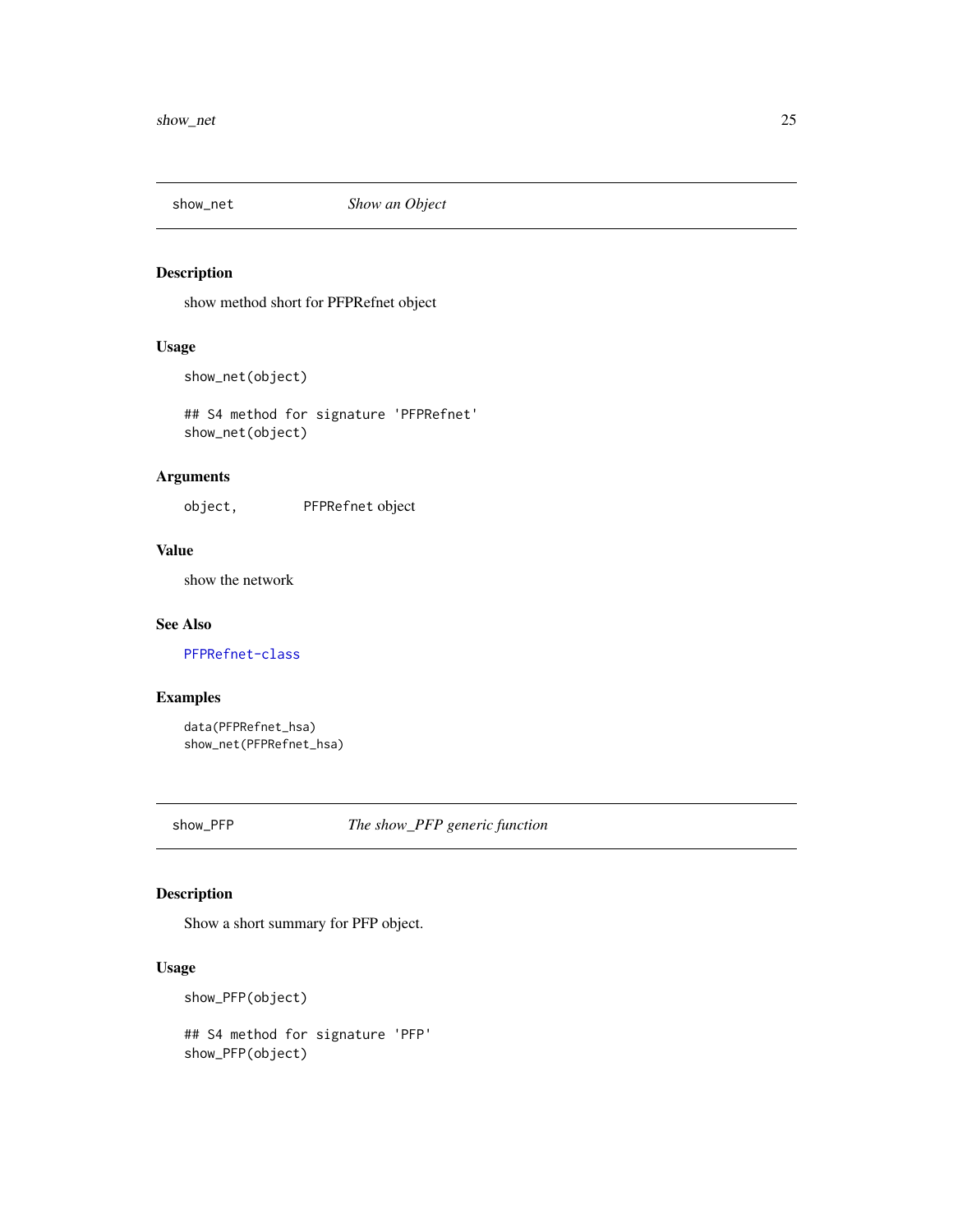<span id="page-24-3"></span><span id="page-24-2"></span><span id="page-24-0"></span>

show method short for PFPRefnet object

## Usage

show\_net(object)

## S4 method for signature 'PFPRefnet' show\_net(object)

## Arguments

object, PFPRefnet object

#### Value

show the network

#### See Also

[PFPRefnet-class](#page-15-1)

## Examples

data(PFPRefnet\_hsa) show\_net(PFPRefnet\_hsa)

show\_PFP *The show\_PFP generic function*

## <span id="page-24-1"></span>Description

Show a short summary for PFP object.

## Usage

```
show_PFP(object)
```
## S4 method for signature 'PFP' show\_PFP(object)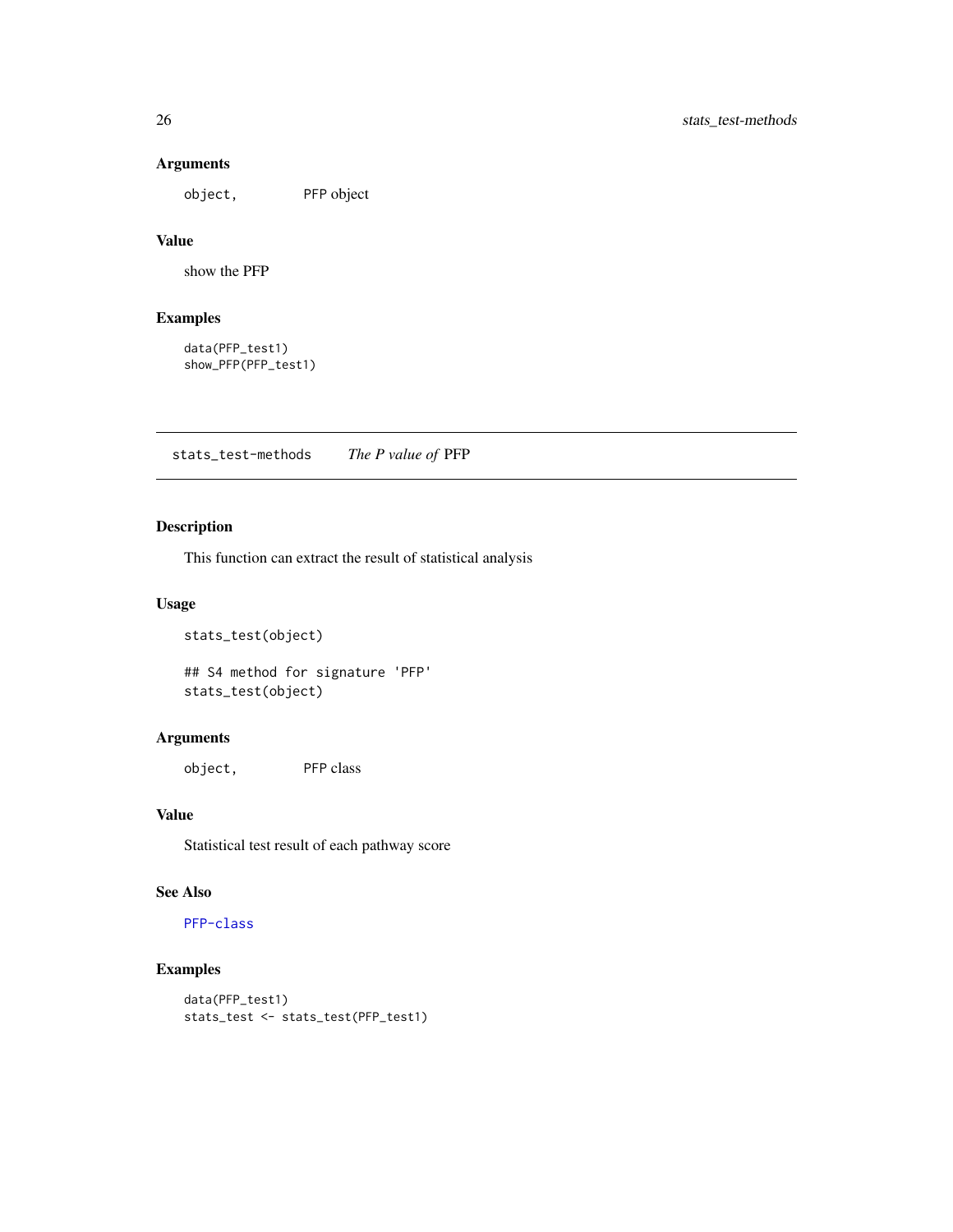## Arguments

object, PFP object

## Value

show the PFP

## Examples

data(PFP\_test1) show\_PFP(PFP\_test1)

<span id="page-25-1"></span>stats\_test-methods *The P value of* PFP

## Description

This function can extract the result of statistical analysis

## Usage

```
stats_test(object)
```
## S4 method for signature 'PFP' stats\_test(object)

## Arguments

object, PFP class

## Value

Statistical test result of each pathway score

## See Also

## [PFP-class](#page-14-1)

```
data(PFP_test1)
stats_test <- stats_test(PFP_test1)
```
<span id="page-25-0"></span>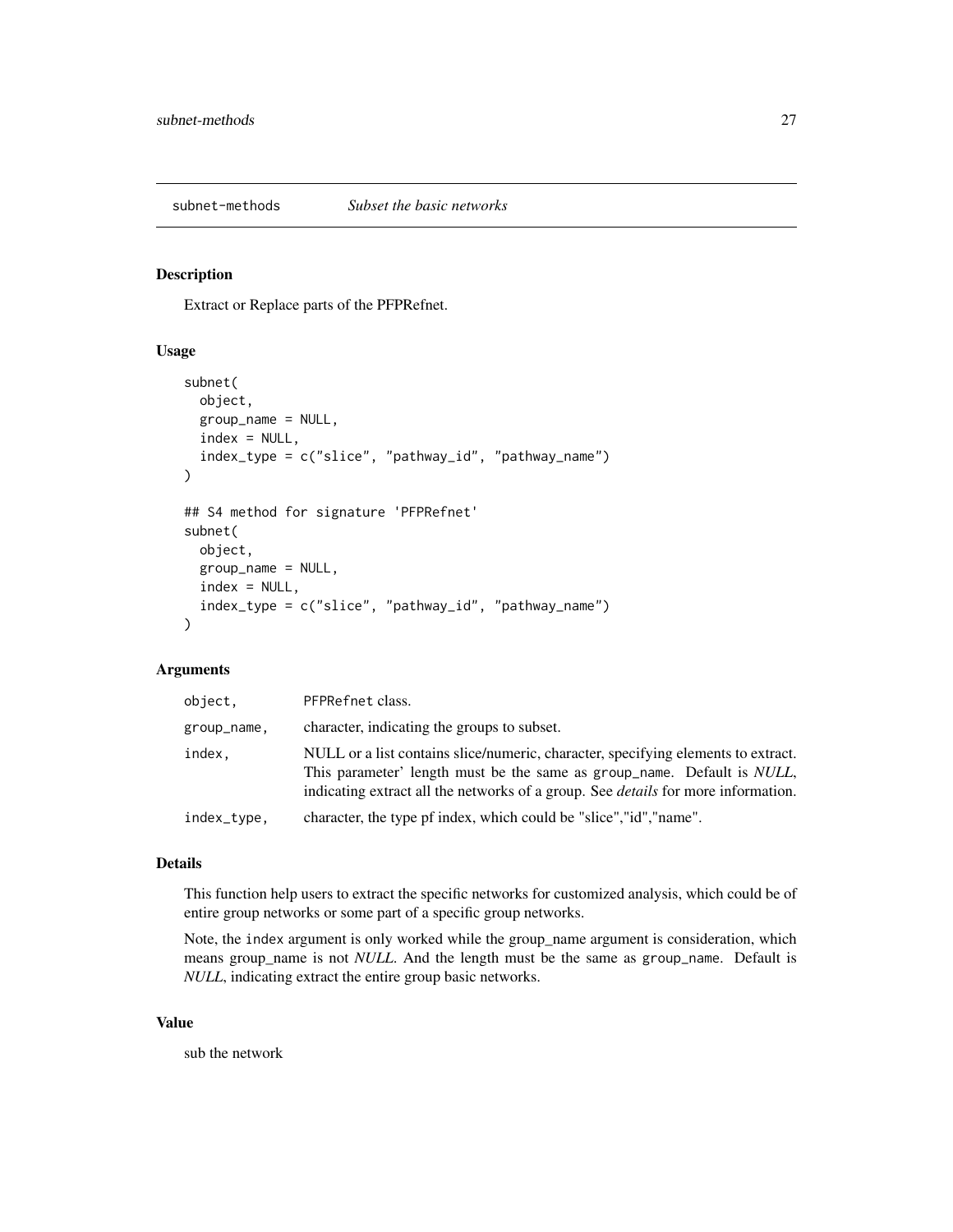<span id="page-26-1"></span><span id="page-26-0"></span>subnet-methods *Subset the basic networks*

#### Description

Extract or Replace parts of the PFPRefnet.

#### Usage

```
subnet(
  object,
  group_name = NULL,
  index = NULL,index_type = c("slice", "pathway_id", "pathway_name")
\lambda## S4 method for signature 'PFPRefnet'
subnet(
  object,
 group_name = NULL,
  index = NULL,index_type = c("slice", "pathway_id", "pathway_name")
\lambda
```
#### Arguments

| object,     | PFPRefnet class.                                                                                                                                                                                                                                                 |
|-------------|------------------------------------------------------------------------------------------------------------------------------------------------------------------------------------------------------------------------------------------------------------------|
| group_name. | character, indicating the groups to subset.                                                                                                                                                                                                                      |
| index.      | NULL or a list contains slice/numeric, character, specifying elements to extract.<br>This parameter' length must be the same as group_name. Default is <i>NULL</i> ,<br>indicating extract all the networks of a group. See <i>details</i> for more information. |
| index_type. | character, the type pf index, which could be "slice", "id", "name".                                                                                                                                                                                              |

#### Details

This function help users to extract the specific networks for customized analysis, which could be of entire group networks or some part of a specific group networks.

Note, the index argument is only worked while the group\_name argument is consideration, which means group\_name is not *NULL*. And the length must be the same as group\_name. Default is *NULL*, indicating extract the entire group basic networks.

#### Value

sub the network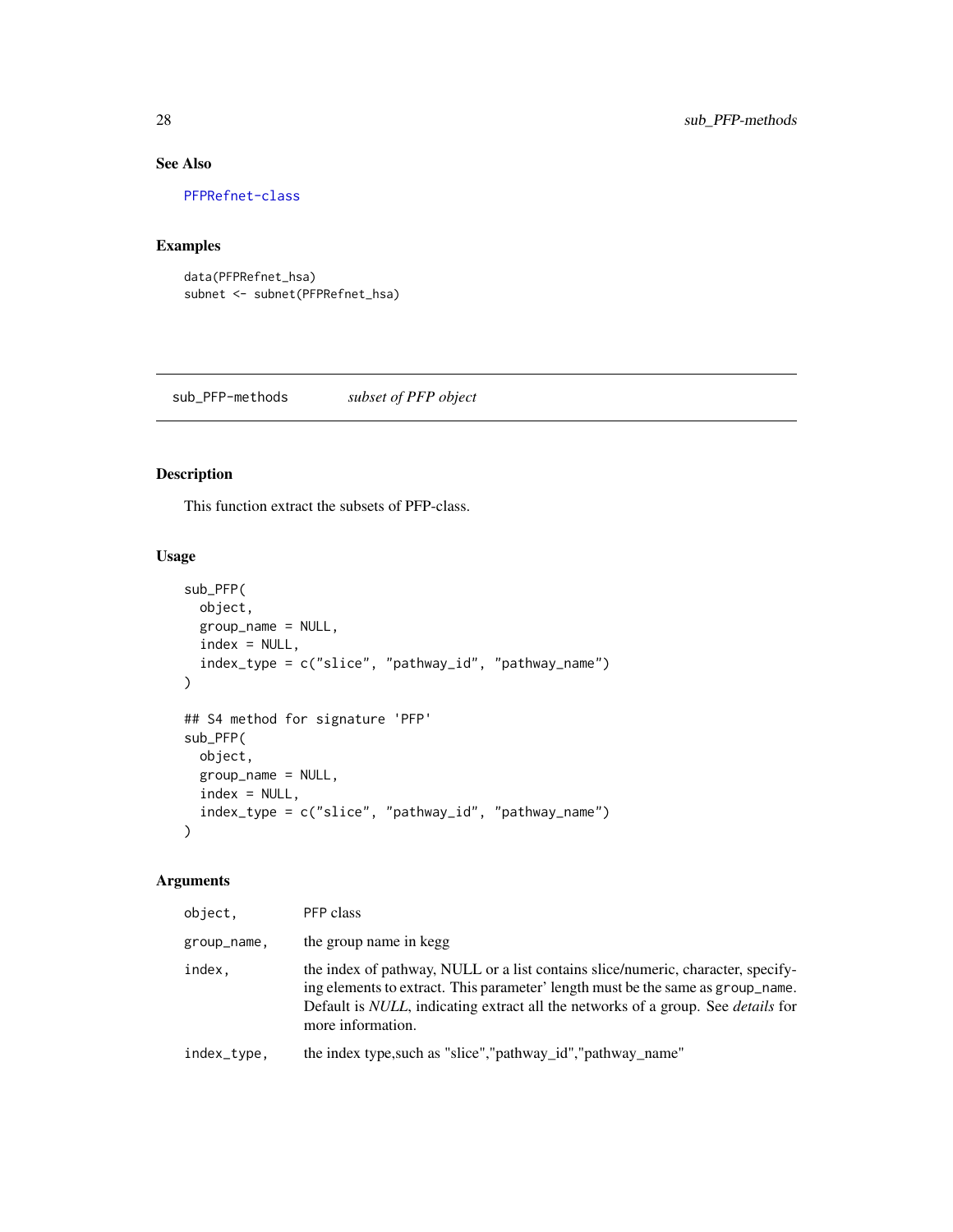## See Also

[PFPRefnet-class](#page-15-1)

## Examples

```
data(PFPRefnet_hsa)
subnet <- subnet(PFPRefnet_hsa)
```
<span id="page-27-1"></span>sub\_PFP-methods *subset of PFP object*

#### Description

This function extract the subsets of PFP-class.

## Usage

```
sub_PFP(
 object,
 group_name = NULL,
 index = NULL,index_type = c("slice", "pathway_id", "pathway_name")
)
## S4 method for signature 'PFP'
sub_PFP(
 object,
 group_name = NULL,
 index = NULL,index_type = c("slice", "pathway_id", "pathway_name")
\mathcal{L}
```
## Arguments

| object.     | PFP class                                                                                                                                                                                                                                                                                   |
|-------------|---------------------------------------------------------------------------------------------------------------------------------------------------------------------------------------------------------------------------------------------------------------------------------------------|
| group_name, | the group name in kegg                                                                                                                                                                                                                                                                      |
| index.      | the index of pathway, NULL or a list contains slice/numeric, character, specify-<br>ing elements to extract. This parameter' length must be the same as group name.<br>Default is <i>NULL</i> , indicating extract all the networks of a group. See <i>details</i> for<br>more information. |
| index_type, | the index type, such as "slice", "pathway_id", "pathway_name"                                                                                                                                                                                                                               |

<span id="page-27-0"></span>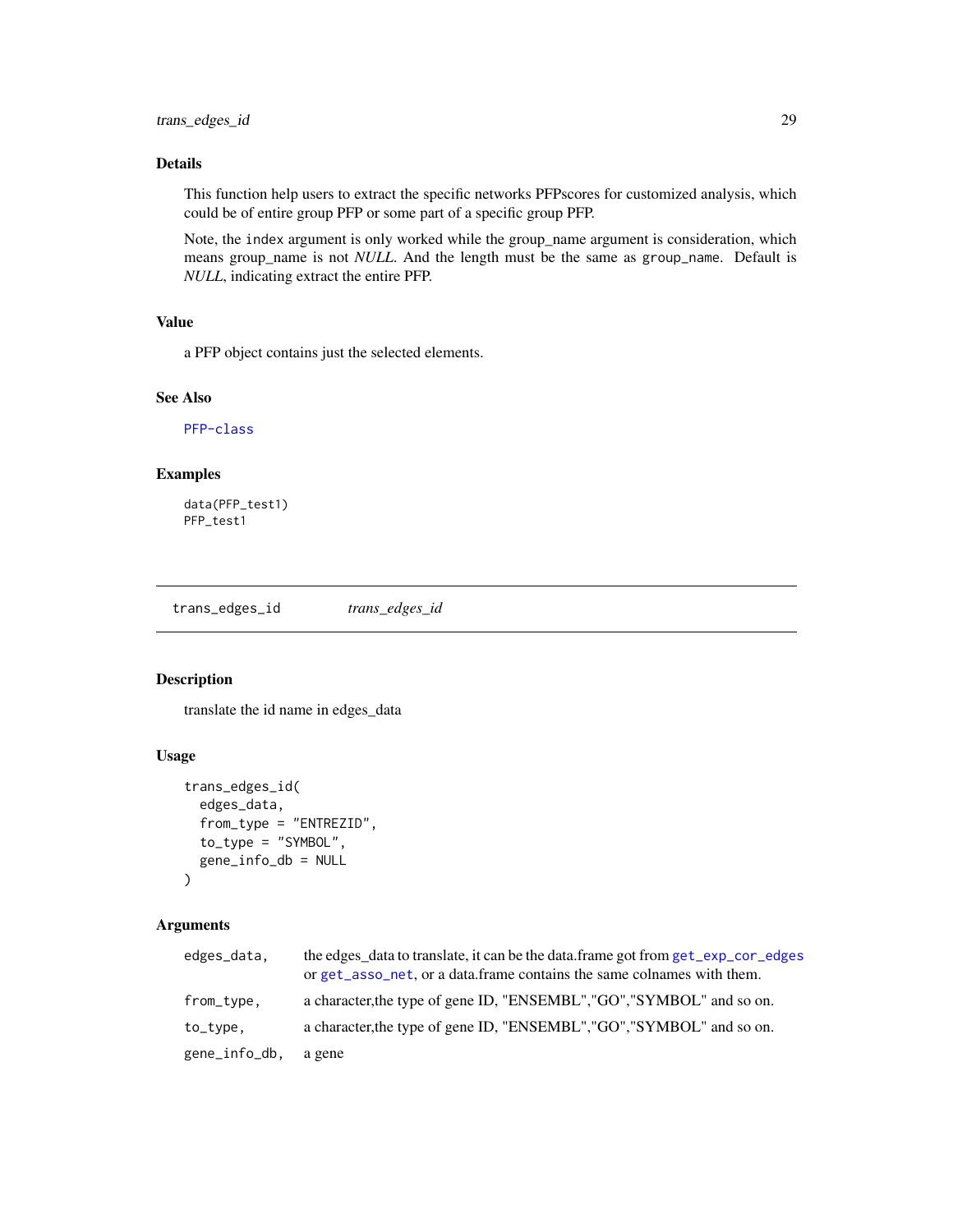## <span id="page-28-0"></span>Details

This function help users to extract the specific networks PFPscores for customized analysis, which could be of entire group PFP or some part of a specific group PFP.

Note, the index argument is only worked while the group\_name argument is consideration, which means group\_name is not *NULL*. And the length must be the same as group\_name. Default is *NULL*, indicating extract the entire PFP.

#### Value

a PFP object contains just the selected elements.

#### See Also

[PFP-class](#page-14-1)

#### Examples

data(PFP\_test1) PFP\_test1

trans\_edges\_id *trans\_edges\_id*

## Description

translate the id name in edges\_data

#### Usage

```
trans_edges_id(
  edges_data,
  from_type = "ENTREZID",
  to_type = "SYMBOL",
  gene_info_db = NULL
)
```
## Arguments

| edges_data,   | the edges_data to translate, it can be the data.frame got from get_exp_cor_edges<br>or get_asso_net, or a data.frame contains the same colnames with them. |
|---------------|------------------------------------------------------------------------------------------------------------------------------------------------------------|
| from_type,    | a character, the type of gene ID, "ENSEMBL", "GO", "SYMBOL" and so on.                                                                                     |
| to_type,      | a character, the type of gene ID, "ENSEMBL", "GO", "SYMBOL" and so on.                                                                                     |
| gene_info_db, | a gene                                                                                                                                                     |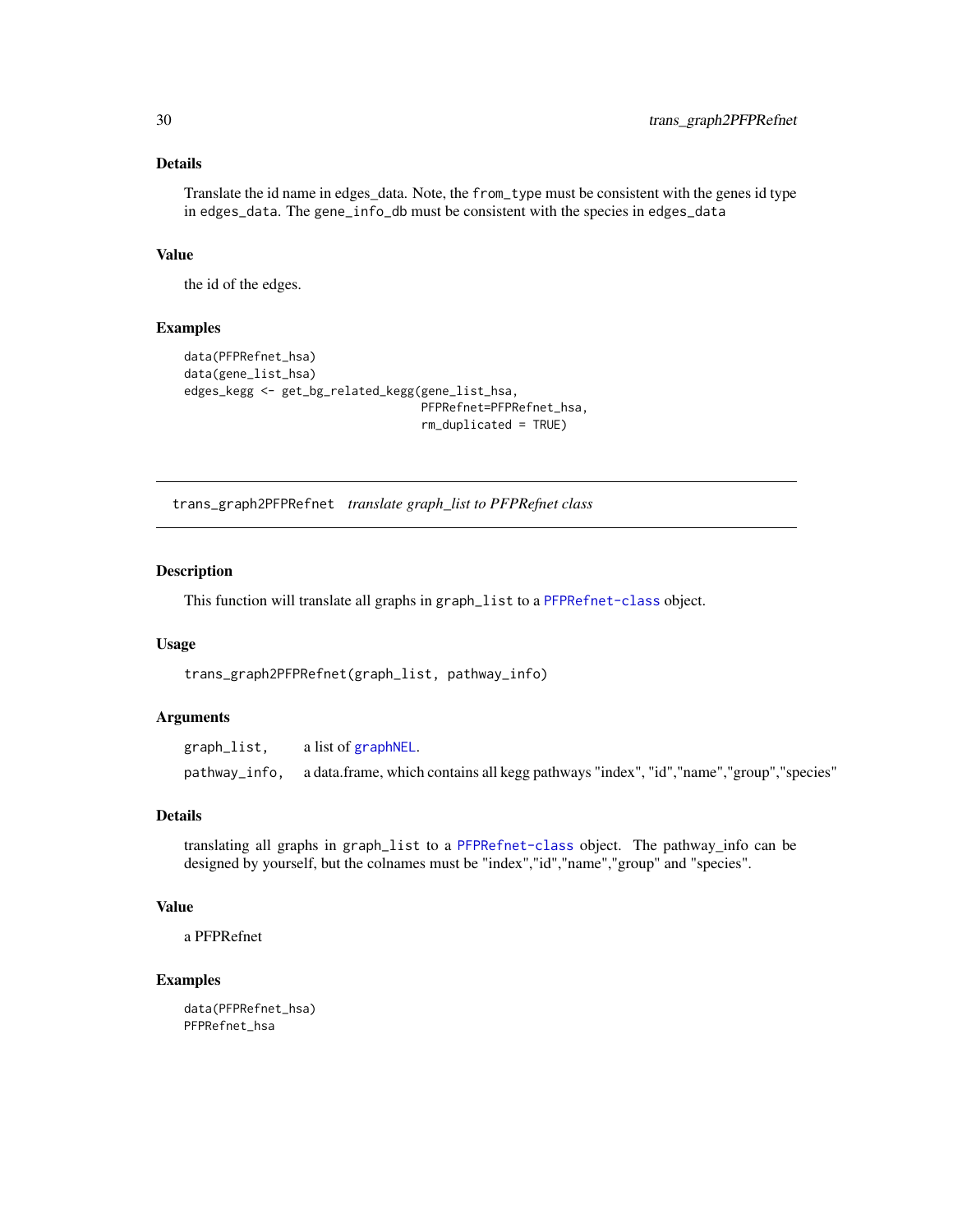#### Details

Translate the id name in edges\_data. Note, the from\_type must be consistent with the genes id type in edges\_data. The gene\_info\_db must be consistent with the species in edges\_data

#### Value

the id of the edges.

#### Examples

```
data(PFPRefnet_hsa)
data(gene_list_hsa)
edges_kegg <- get_bg_related_kegg(gene_list_hsa,
                                  PFPRefnet=PFPRefnet_hsa,
                                  rm_duplicated = TRUE)
```
trans\_graph2PFPRefnet *translate graph\_list to PFPRefnet class*

#### Description

This function will translate all graphs in graph\_list to a [PFPRefnet-class](#page-15-1) object.

#### Usage

trans\_graph2PFPRefnet(graph\_list, pathway\_info)

#### Arguments

graph\_list, a list of [graphNEL](#page-0-0). pathway\_info, a data.frame, which contains all kegg pathways "index", "id","name","group","species"

#### Details

translating all graphs in graph\_list to a [PFPRefnet-class](#page-15-1) object. The pathway\_info can be designed by yourself, but the colnames must be "index","id","name","group" and "species".

#### Value

a PFPRefnet

#### Examples

data(PFPRefnet\_hsa) PFPRefnet\_hsa

<span id="page-29-0"></span>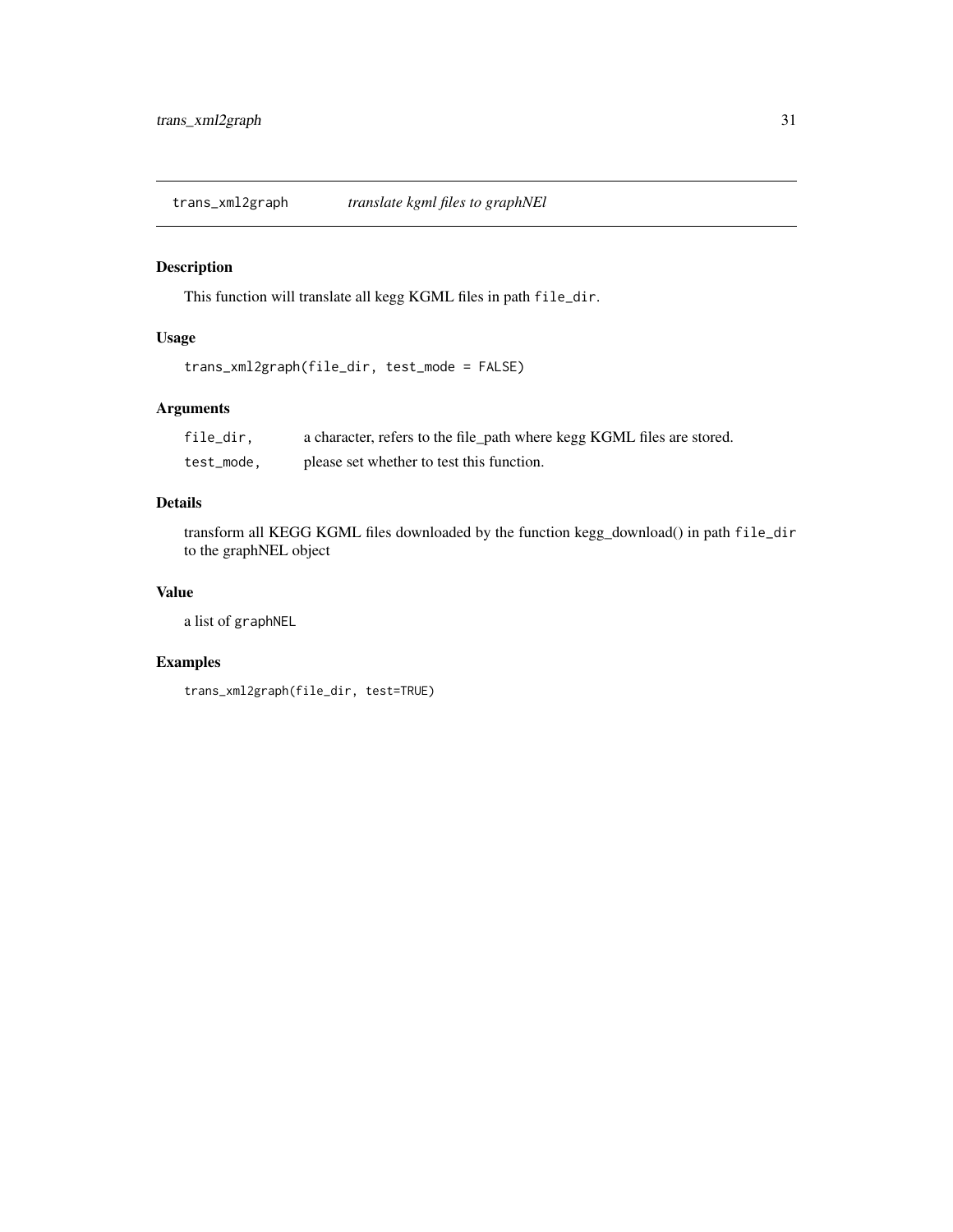<span id="page-30-0"></span>trans\_xml2graph *translate kgml files to graphNEl*

## Description

This function will translate all kegg KGML files in path file\_dir.

## Usage

```
trans_xml2graph(file_dir, test_mode = FALSE)
```
## Arguments

| file_dir.  | a character, refers to the file_path where kegg KGML files are stored. |
|------------|------------------------------------------------------------------------|
| test_mode, | please set whether to test this function.                              |

## Details

transform all KEGG KGML files downloaded by the function kegg\_download() in path file\_dir to the graphNEL object

## Value

a list of graphNEL

```
trans_xml2graph(file_dir, test=TRUE)
```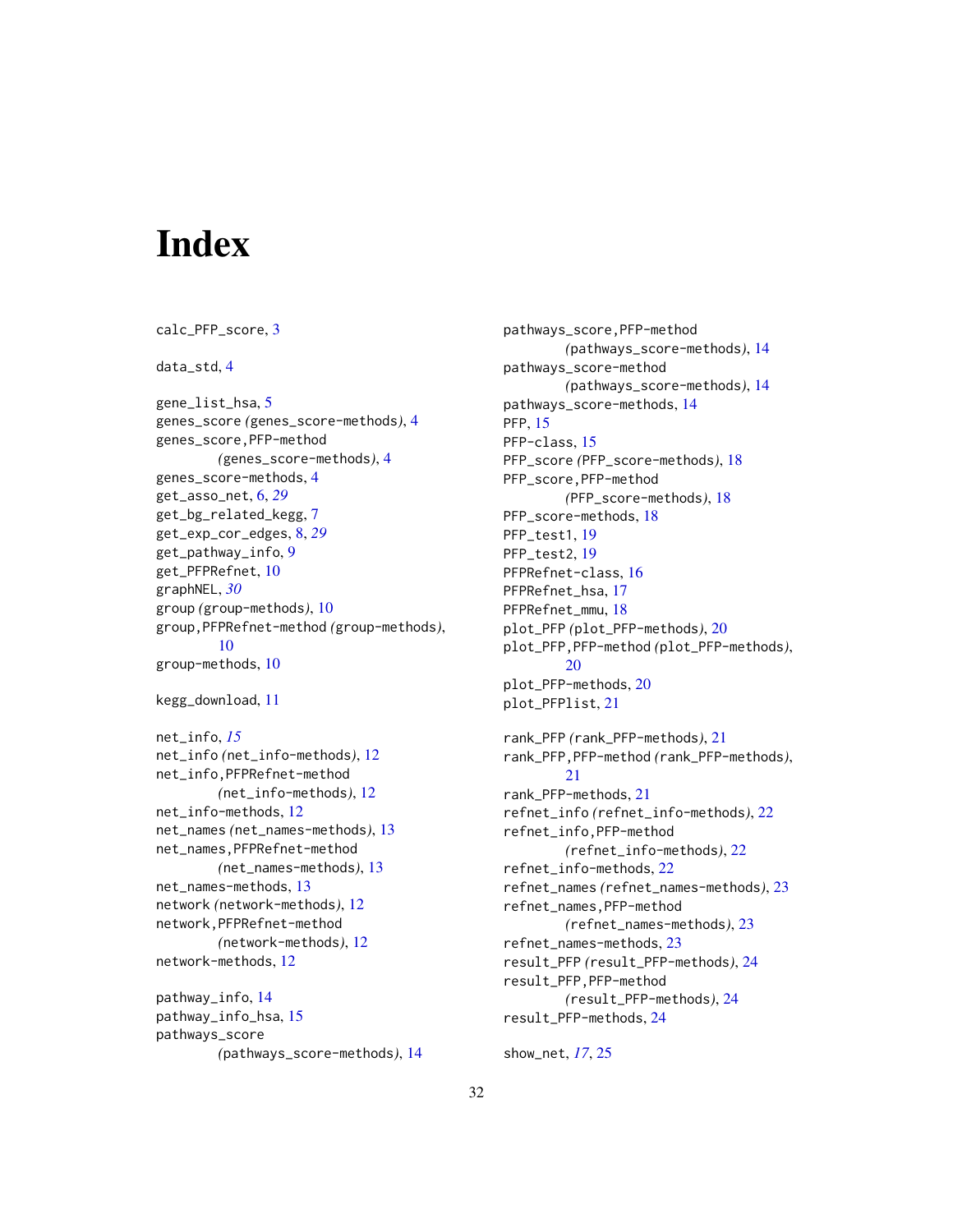# <span id="page-31-0"></span>**Index**

```
calc_PFP_score, 3
4
gene_list_hsa, 5
genes_score (genes_score-methods), 4
genes_score,PFP-method
        (genes_score-methods), 4
genes_score-methods, 4
get_asso_net, 6, 29
get_bg_related_kegg, 7
get_exp_cor_edges, 8, 29
get_pathway_info, 9
get_PFPRefnet, 10
graphNEL, 30
group (group-methods), 10
group,PFPRefnet-method (group-methods),
        10
group-methods, 10
kegg_download, 11
net_info, 15
net_info (net_info-methods), 12
net_info,PFPRefnet-method
        (net_info-methods), 12
net_info-methods, 12
net_names (net_names-methods), 13
net_names,PFPRefnet-method
        (net_names-methods), 13
net_names-methods, 13
network (network-methods), 12
network,PFPRefnet-method
        (network-methods), 12
network-methods, 12
pathway_info, 14
pathway_info_hsa, 15
pathways_score
        (pathways_score-methods), 14
```
pathways\_score,PFP-method *(*pathways\_score-methods*)*, [14](#page-13-0) pathways\_score-method *(*pathways\_score-methods*)*, [14](#page-13-0) pathways\_score-methods, [14](#page-13-0) PFP, [15](#page-14-0) PFP-class, [15](#page-14-0) PFP\_score *(*PFP\_score-methods*)*, [18](#page-17-0) PFP\_score,PFP-method *(*PFP\_score-methods*)*, [18](#page-17-0) PFP\_score-methods, [18](#page-17-0) PFP\_test1, [19](#page-18-0) PFP\_test2, [19](#page-18-0) PFPRefnet-class, [16](#page-15-0) PFPRefnet\_hsa, [17](#page-16-0) PFPRefnet\_mmu, [18](#page-17-0) plot\_PFP *(*plot\_PFP-methods*)*, [20](#page-19-0) plot\_PFP,PFP-method *(*plot\_PFP-methods*)*, [20](#page-19-0) plot\_PFP-methods, [20](#page-19-0) plot\_PFPlist, [21](#page-20-0) rank\_PFP *(*rank\_PFP-methods*)*, [21](#page-20-0) rank\_PFP,PFP-method *(*rank\_PFP-methods*)*, [21](#page-20-0) rank\_PFP-methods, [21](#page-20-0) refnet\_info *(*refnet\_info-methods*)*, [22](#page-21-0) refnet\_info,PFP-method *(*refnet\_info-methods*)*, [22](#page-21-0) refnet\_info-methods, [22](#page-21-0) refnet\_names *(*refnet\_names-methods*)*, [23](#page-22-0) refnet\_names,PFP-method *(*refnet\_names-methods*)*, [23](#page-22-0) refnet\_names-methods, [23](#page-22-0) result\_PFP *(*result\_PFP-methods*)*, [24](#page-23-0) result\_PFP,PFP-method *(*result\_PFP-methods*)*, [24](#page-23-0) result\_PFP-methods, [24](#page-23-0)

show\_net, *[17](#page-16-0)*, [25](#page-24-0)